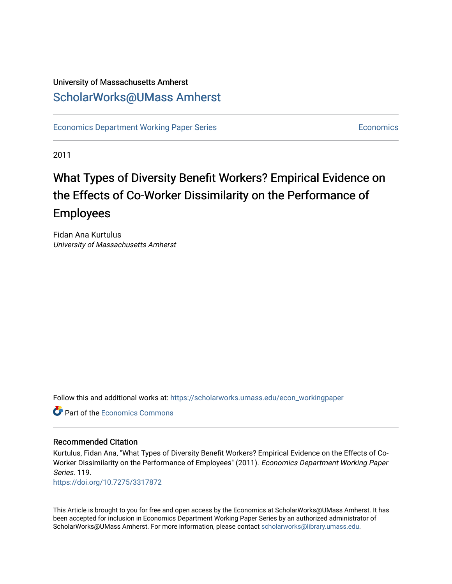### University of Massachusetts Amherst [ScholarWorks@UMass Amherst](https://scholarworks.umass.edu/)

[Economics Department Working Paper Series](https://scholarworks.umass.edu/econ_workingpaper) **Economics** [Economics](https://scholarworks.umass.edu/economics) Economics

2011

## What Types of Diversity Benefit Workers? Empirical Evidence on the Effects of Co-Worker Dissimilarity on the Performance of Employees

Fidan Ana Kurtulus University of Massachusetts Amherst

Follow this and additional works at: [https://scholarworks.umass.edu/econ\\_workingpaper](https://scholarworks.umass.edu/econ_workingpaper?utm_source=scholarworks.umass.edu%2Fecon_workingpaper%2F119&utm_medium=PDF&utm_campaign=PDFCoverPages) 

**C** Part of the [Economics Commons](http://network.bepress.com/hgg/discipline/340?utm_source=scholarworks.umass.edu%2Fecon_workingpaper%2F119&utm_medium=PDF&utm_campaign=PDFCoverPages)

#### Recommended Citation

Kurtulus, Fidan Ana, "What Types of Diversity Benefit Workers? Empirical Evidence on the Effects of Co-Worker Dissimilarity on the Performance of Employees" (2011). Economics Department Working Paper Series. 119.

<https://doi.org/10.7275/3317872>

This Article is brought to you for free and open access by the Economics at ScholarWorks@UMass Amherst. It has been accepted for inclusion in Economics Department Working Paper Series by an authorized administrator of ScholarWorks@UMass Amherst. For more information, please contact [scholarworks@library.umass.edu.](mailto:scholarworks@library.umass.edu)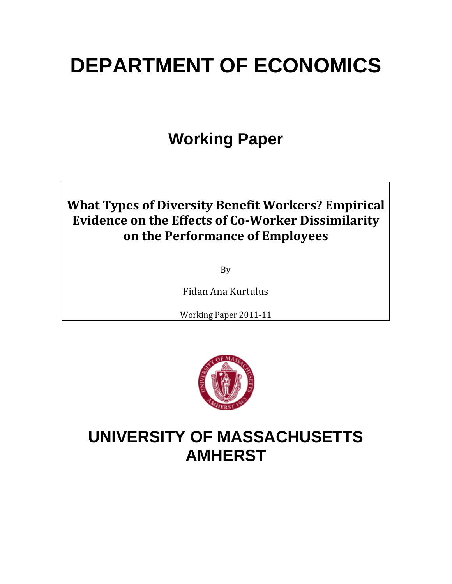# **DEPARTMENT OF ECONOMICS**

## **Working Paper**

## **What Types of Diversity Benefit Workers? Empirical Evidence on the Effects of CoWorker Dissimilarity on the Performance of Employees**

By

Fidan Ana Kurtulus

Working Paper 2011‐11



## **UNIVERSITY OF MASSACHUSETTS AMHERST**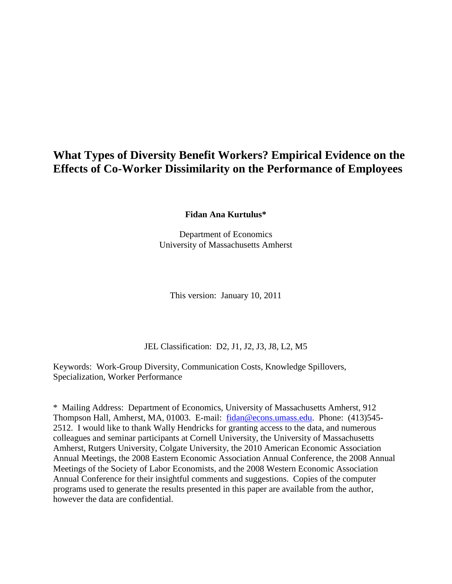## **What Types of Diversity Benefit Workers? Empirical Evidence on the Effects of Co-Worker Dissimilarity on the Performance of Employees**

**Fidan Ana Kurtulus\***

Department of Economics University of Massachusetts Amherst

This version: January 10, 2011

JEL Classification: D2, J1, J2, J3, J8, L2, M5

Keywords: Work-Group Diversity, Communication Costs, Knowledge Spillovers, Specialization, Worker Performance

\* Mailing Address: Department of Economics, University of Massachusetts Amherst, 912 Thompson Hall, Amherst, MA, 01003. E-mail: [fidan@econs.umass.edu.](mailto:fidan@econs.umass.edu) Phone: (413)545- 2512. I would like to thank Wally Hendricks for granting access to the data, and numerous colleagues and seminar participants at Cornell University, the University of Massachusetts Amherst, Rutgers University, Colgate University, the 2010 American Economic Association Annual Meetings, the 2008 Eastern Economic Association Annual Conference, the 2008 Annual Meetings of the Society of Labor Economists, and the 2008 Western Economic Association Annual Conference for their insightful comments and suggestions. Copies of the computer programs used to generate the results presented in this paper are available from the author, however the data are confidential.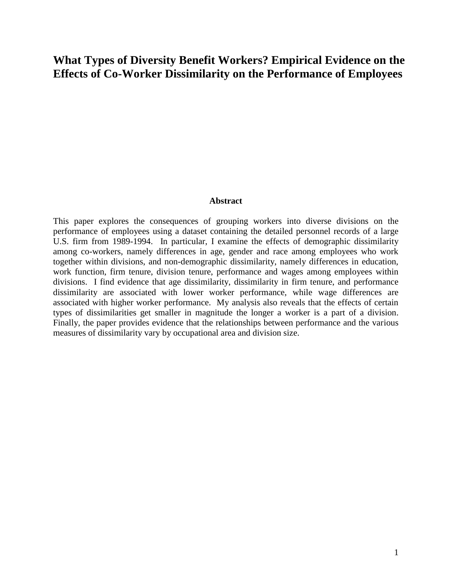### **What Types of Diversity Benefit Workers? Empirical Evidence on the Effects of Co-Worker Dissimilarity on the Performance of Employees**

#### **Abstract**

This paper explores the consequences of grouping workers into diverse divisions on the performance of employees using a dataset containing the detailed personnel records of a large U.S. firm from 1989-1994. In particular, I examine the effects of demographic dissimilarity among co-workers, namely differences in age, gender and race among employees who work together within divisions, and non-demographic dissimilarity, namely differences in education, work function, firm tenure, division tenure, performance and wages among employees within divisions. I find evidence that age dissimilarity, dissimilarity in firm tenure, and performance dissimilarity are associated with lower worker performance, while wage differences are associated with higher worker performance. My analysis also reveals that the effects of certain types of dissimilarities get smaller in magnitude the longer a worker is a part of a division. Finally, the paper provides evidence that the relationships between performance and the various measures of dissimilarity vary by occupational area and division size.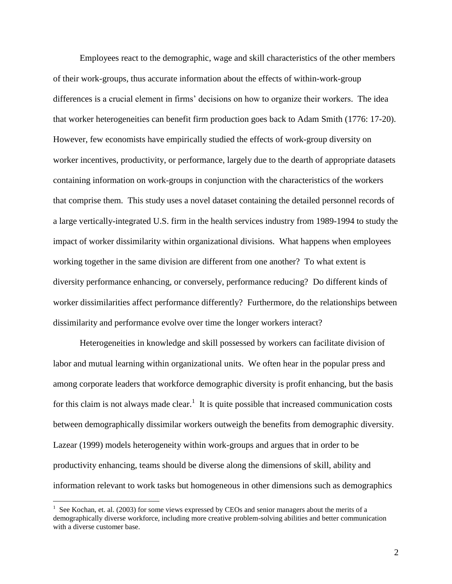Employees react to the demographic, wage and skill characteristics of the other members of their work-groups, thus accurate information about the effects of within-work-group differences is a crucial element in firms' decisions on how to organize their workers. The idea that worker heterogeneities can benefit firm production goes back to Adam Smith (1776: 17-20). However, few economists have empirically studied the effects of work-group diversity on worker incentives, productivity, or performance, largely due to the dearth of appropriate datasets containing information on work-groups in conjunction with the characteristics of the workers that comprise them. This study uses a novel dataset containing the detailed personnel records of a large vertically-integrated U.S. firm in the health services industry from 1989-1994 to study the impact of worker dissimilarity within organizational divisions. What happens when employees working together in the same division are different from one another? To what extent is diversity performance enhancing, or conversely, performance reducing? Do different kinds of worker dissimilarities affect performance differently? Furthermore, do the relationships between dissimilarity and performance evolve over time the longer workers interact?

Heterogeneities in knowledge and skill possessed by workers can facilitate division of labor and mutual learning within organizational units. We often hear in the popular press and among corporate leaders that workforce demographic diversity is profit enhancing, but the basis for this claim is not always made clear.<sup>1</sup> It is quite possible that increased communication costs between demographically dissimilar workers outweigh the benefits from demographic diversity. Lazear (1999) models heterogeneity within work-groups and argues that in order to be productivity enhancing, teams should be diverse along the dimensions of skill, ability and information relevant to work tasks but homogeneous in other dimensions such as demographics

 $\overline{a}$ 

 $<sup>1</sup>$  See Kochan, et. al. (2003) for some views expressed by CEOs and senior managers about the merits of a</sup> demographically diverse workforce, including more creative problem-solving abilities and better communication with a diverse customer base.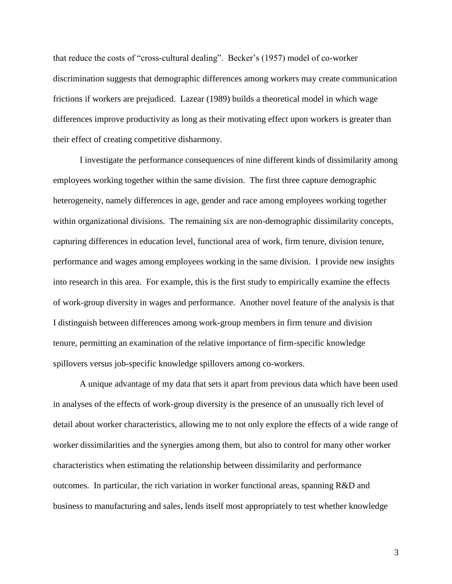that reduce the costs of "cross-cultural dealing". Becker"s (1957) model of co-worker discrimination suggests that demographic differences among workers may create communication frictions if workers are prejudiced. Lazear (1989) builds a theoretical model in which wage differences improve productivity as long as their motivating effect upon workers is greater than their effect of creating competitive disharmony.

I investigate the performance consequences of nine different kinds of dissimilarity among employees working together within the same division. The first three capture demographic heterogeneity, namely differences in age, gender and race among employees working together within organizational divisions. The remaining six are non-demographic dissimilarity concepts, capturing differences in education level, functional area of work, firm tenure, division tenure, performance and wages among employees working in the same division. I provide new insights into research in this area. For example, this is the first study to empirically examine the effects of work-group diversity in wages and performance. Another novel feature of the analysis is that I distinguish between differences among work-group members in firm tenure and division tenure, permitting an examination of the relative importance of firm-specific knowledge spillovers versus job-specific knowledge spillovers among co-workers.

A unique advantage of my data that sets it apart from previous data which have been used in analyses of the effects of work-group diversity is the presence of an unusually rich level of detail about worker characteristics, allowing me to not only explore the effects of a wide range of worker dissimilarities and the synergies among them, but also to control for many other worker characteristics when estimating the relationship between dissimilarity and performance outcomes. In particular, the rich variation in worker functional areas, spanning R&D and business to manufacturing and sales, lends itself most appropriately to test whether knowledge

3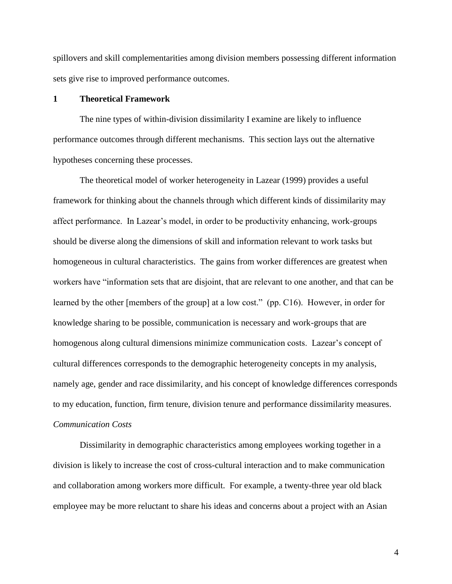spillovers and skill complementarities among division members possessing different information sets give rise to improved performance outcomes.

#### **1 Theoretical Framework**

The nine types of within-division dissimilarity I examine are likely to influence performance outcomes through different mechanisms. This section lays out the alternative hypotheses concerning these processes.

The theoretical model of worker heterogeneity in Lazear (1999) provides a useful framework for thinking about the channels through which different kinds of dissimilarity may affect performance. In Lazear's model, in order to be productivity enhancing, work-groups should be diverse along the dimensions of skill and information relevant to work tasks but homogeneous in cultural characteristics. The gains from worker differences are greatest when workers have "information sets that are disjoint, that are relevant to one another, and that can be learned by the other [members of the group] at a low cost." (pp. C16). However, in order for knowledge sharing to be possible, communication is necessary and work-groups that are homogenous along cultural dimensions minimize communication costs. Lazear's concept of cultural differences corresponds to the demographic heterogeneity concepts in my analysis, namely age, gender and race dissimilarity, and his concept of knowledge differences corresponds to my education, function, firm tenure, division tenure and performance dissimilarity measures. *Communication Costs*

Dissimilarity in demographic characteristics among employees working together in a division is likely to increase the cost of cross-cultural interaction and to make communication and collaboration among workers more difficult. For example, a twenty-three year old black employee may be more reluctant to share his ideas and concerns about a project with an Asian

4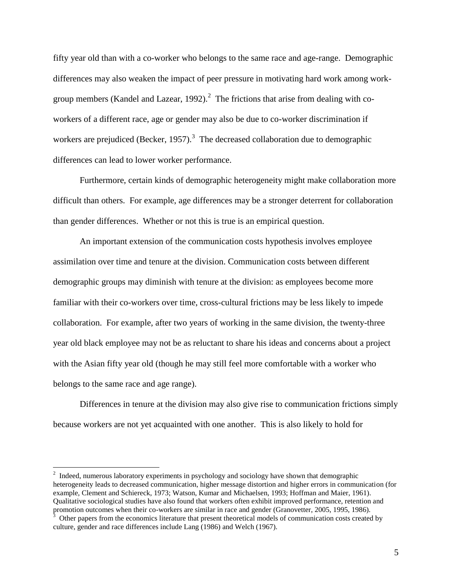fifty year old than with a co-worker who belongs to the same race and age-range. Demographic differences may also weaken the impact of peer pressure in motivating hard work among workgroup members (Kandel and Lazear, 1992).<sup>2</sup> The frictions that arise from dealing with coworkers of a different race, age or gender may also be due to co-worker discrimination if workers are prejudiced (Becker, 1957).<sup>3</sup> The decreased collaboration due to demographic differences can lead to lower worker performance.

Furthermore, certain kinds of demographic heterogeneity might make collaboration more difficult than others. For example, age differences may be a stronger deterrent for collaboration than gender differences. Whether or not this is true is an empirical question.

An important extension of the communication costs hypothesis involves employee assimilation over time and tenure at the division. Communication costs between different demographic groups may diminish with tenure at the division: as employees become more familiar with their co-workers over time, cross-cultural frictions may be less likely to impede collaboration. For example, after two years of working in the same division, the twenty-three year old black employee may not be as reluctant to share his ideas and concerns about a project with the Asian fifty year old (though he may still feel more comfortable with a worker who belongs to the same race and age range).

Differences in tenure at the division may also give rise to communication frictions simply because workers are not yet acquainted with one another. This is also likely to hold for

 $\overline{a}$ 

 $2<sup>2</sup>$  Indeed, numerous laboratory experiments in psychology and sociology have shown that demographic heterogeneity leads to decreased communication, higher message distortion and higher errors in communication (for example, Clement and Schiereck, 1973; Watson, Kumar and Michaelsen, 1993; Hoffman and Maier, 1961). Qualitative sociological studies have also found that workers often exhibit improved performance, retention and promotion outcomes when their co-workers are similar in race and gender (Granovetter, 2005, 1995, 1986).<br><sup>3</sup> Other papers from the economics literature that present theoretical models of communication costs created by

culture, gender and race differences include Lang (1986) and Welch (1967).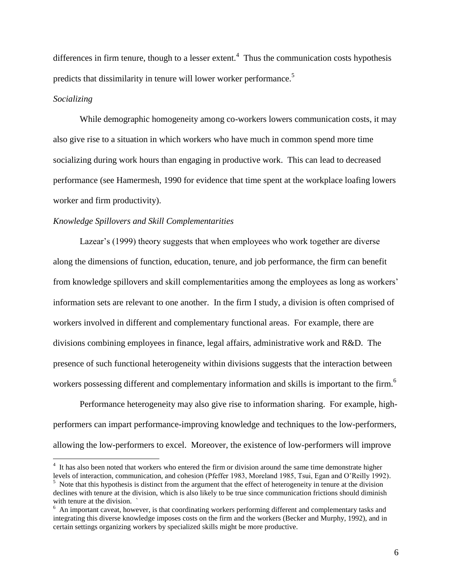differences in firm tenure, though to a lesser extent.<sup>4</sup> Thus the communication costs hypothesis predicts that dissimilarity in tenure will lower worker performance.<sup>5</sup>

#### *Socializing*

 $\overline{a}$ 

While demographic homogeneity among co-workers lowers communication costs, it may also give rise to a situation in which workers who have much in common spend more time socializing during work hours than engaging in productive work. This can lead to decreased performance (see Hamermesh, 1990 for evidence that time spent at the workplace loafing lowers worker and firm productivity).

#### *Knowledge Spillovers and Skill Complementarities*

Lazear's (1999) theory suggests that when employees who work together are diverse along the dimensions of function, education, tenure, and job performance, the firm can benefit from knowledge spillovers and skill complementarities among the employees as long as workers" information sets are relevant to one another. In the firm I study, a division is often comprised of workers involved in different and complementary functional areas. For example, there are divisions combining employees in finance, legal affairs, administrative work and R&D. The presence of such functional heterogeneity within divisions suggests that the interaction between workers possessing different and complementary information and skills is important to the firm.<sup>6</sup>

Performance heterogeneity may also give rise to information sharing. For example, highperformers can impart performance-improving knowledge and techniques to the low-performers, allowing the low-performers to excel. Moreover, the existence of low-performers will improve

<sup>&</sup>lt;sup>4</sup> It has also been noted that workers who entered the firm or division around the same time demonstrate higher levels of interaction, communication, and cohesion (Pfeffer 1983, Moreland 1985, Tsui, Egan and O"Reilly 1992). <sup>5</sup> Note that this hypothesis is distinct from the argument that the effect of heterogeneity in tenure at the division declines with tenure at the division, which is also likely to be true since communication frictions should diminish with tenure at the division.

<sup>&</sup>lt;sup>6</sup> An important caveat, however, is that coordinating workers performing different and complementary tasks and integrating this diverse knowledge imposes costs on the firm and the workers (Becker and Murphy, 1992), and in certain settings organizing workers by specialized skills might be more productive.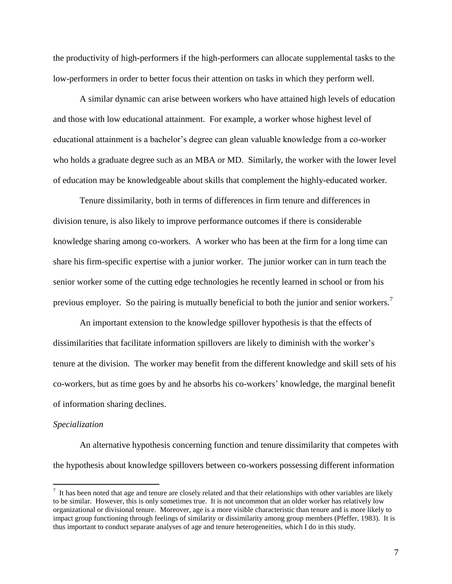the productivity of high-performers if the high-performers can allocate supplemental tasks to the low-performers in order to better focus their attention on tasks in which they perform well.

A similar dynamic can arise between workers who have attained high levels of education and those with low educational attainment. For example, a worker whose highest level of educational attainment is a bachelor"s degree can glean valuable knowledge from a co-worker who holds a graduate degree such as an MBA or MD. Similarly, the worker with the lower level of education may be knowledgeable about skills that complement the highly-educated worker.

Tenure dissimilarity, both in terms of differences in firm tenure and differences in division tenure, is also likely to improve performance outcomes if there is considerable knowledge sharing among co-workers. A worker who has been at the firm for a long time can share his firm-specific expertise with a junior worker. The junior worker can in turn teach the senior worker some of the cutting edge technologies he recently learned in school or from his previous employer. So the pairing is mutually beneficial to both the junior and senior workers.<sup>7</sup>

An important extension to the knowledge spillover hypothesis is that the effects of dissimilarities that facilitate information spillovers are likely to diminish with the worker's tenure at the division. The worker may benefit from the different knowledge and skill sets of his co-workers, but as time goes by and he absorbs his co-workers" knowledge, the marginal benefit of information sharing declines.

#### *Specialization*

An alternative hypothesis concerning function and tenure dissimilarity that competes with the hypothesis about knowledge spillovers between co-workers possessing different information

<sup>&</sup>lt;sup>7</sup> It has been noted that age and tenure are closely related and that their relationships with other variables are likely to be similar. However, this is only sometimes true. It is not uncommon that an older worker has relatively low organizational or divisional tenure. Moreover, age is a more visible characteristic than tenure and is more likely to impact group functioning through feelings of similarity or dissimilarity among group members (Pfeffer, 1983). It is thus important to conduct separate analyses of age and tenure heterogeneities, which I do in this study.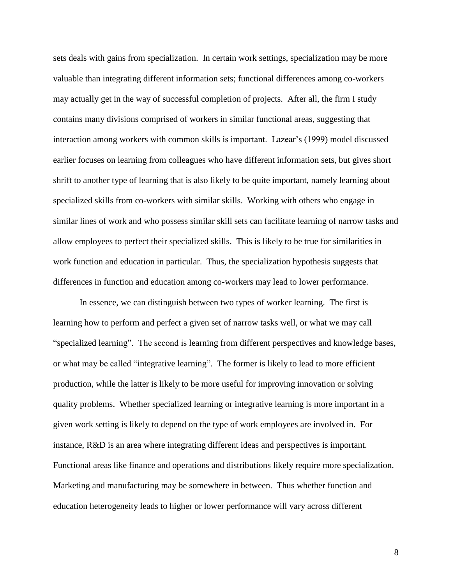sets deals with gains from specialization. In certain work settings, specialization may be more valuable than integrating different information sets; functional differences among co-workers may actually get in the way of successful completion of projects. After all, the firm I study contains many divisions comprised of workers in similar functional areas, suggesting that interaction among workers with common skills is important. Lazear"s (1999) model discussed earlier focuses on learning from colleagues who have different information sets, but gives short shrift to another type of learning that is also likely to be quite important, namely learning about specialized skills from co-workers with similar skills. Working with others who engage in similar lines of work and who possess similar skill sets can facilitate learning of narrow tasks and allow employees to perfect their specialized skills. This is likely to be true for similarities in work function and education in particular. Thus, the specialization hypothesis suggests that differences in function and education among co-workers may lead to lower performance.

In essence, we can distinguish between two types of worker learning. The first is learning how to perform and perfect a given set of narrow tasks well, or what we may call "specialized learning". The second is learning from different perspectives and knowledge bases, or what may be called "integrative learning". The former is likely to lead to more efficient production, while the latter is likely to be more useful for improving innovation or solving quality problems. Whether specialized learning or integrative learning is more important in a given work setting is likely to depend on the type of work employees are involved in. For instance, R&D is an area where integrating different ideas and perspectives is important. Functional areas like finance and operations and distributions likely require more specialization. Marketing and manufacturing may be somewhere in between. Thus whether function and education heterogeneity leads to higher or lower performance will vary across different

8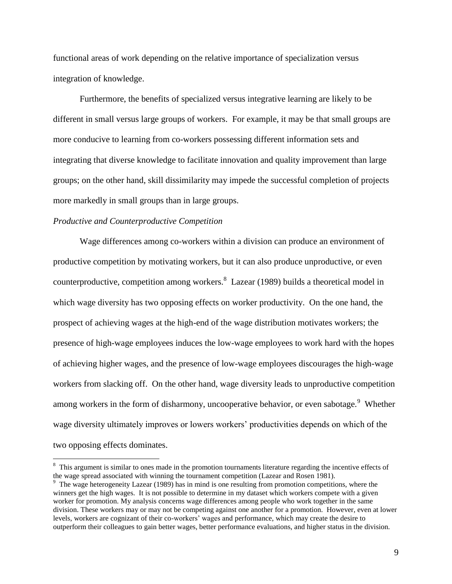functional areas of work depending on the relative importance of specialization versus integration of knowledge.

Furthermore, the benefits of specialized versus integrative learning are likely to be different in small versus large groups of workers. For example, it may be that small groups are more conducive to learning from co-workers possessing different information sets and integrating that diverse knowledge to facilitate innovation and quality improvement than large groups; on the other hand, skill dissimilarity may impede the successful completion of projects more markedly in small groups than in large groups.

#### *Productive and Counterproductive Competition*

 $\overline{a}$ 

Wage differences among co-workers within a division can produce an environment of productive competition by motivating workers, but it can also produce unproductive, or even counterproductive, competition among workers.  $8$  Lazear (1989) builds a theoretical model in which wage diversity has two opposing effects on worker productivity. On the one hand, the prospect of achieving wages at the high-end of the wage distribution motivates workers; the presence of high-wage employees induces the low-wage employees to work hard with the hopes of achieving higher wages, and the presence of low-wage employees discourages the high-wage workers from slacking off. On the other hand, wage diversity leads to unproductive competition among workers in the form of disharmony, uncooperative behavior, or even sabotage.<sup>9</sup> Whether wage diversity ultimately improves or lowers workers" productivities depends on which of the two opposing effects dominates.

<sup>&</sup>lt;sup>8</sup> This argument is similar to ones made in the promotion tournaments literature regarding the incentive effects of the wage spread associated with winning the tournament competition (Lazear and Rosen 1981). <sup>9</sup> The wage heterogeneity Lazear (1989) has in mind is one resulting from promotion competitions, where the winners get the high wages. It is not possible to determine in my dataset which workers compete with a given

worker for promotion. My analysis concerns wage differences among people who work together in the same division. These workers may or may not be competing against one another for a promotion. However, even at lower levels, workers are cognizant of their co-workers" wages and performance, which may create the desire to outperform their colleagues to gain better wages, better performance evaluations, and higher status in the division.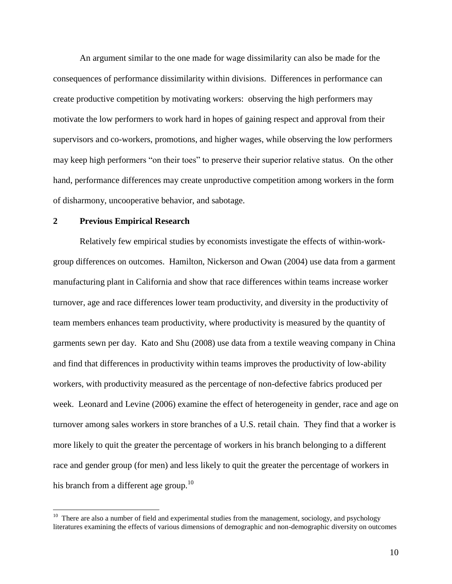An argument similar to the one made for wage dissimilarity can also be made for the consequences of performance dissimilarity within divisions. Differences in performance can create productive competition by motivating workers: observing the high performers may motivate the low performers to work hard in hopes of gaining respect and approval from their supervisors and co-workers, promotions, and higher wages, while observing the low performers may keep high performers "on their toes" to preserve their superior relative status. On the other hand, performance differences may create unproductive competition among workers in the form of disharmony, uncooperative behavior, and sabotage.

#### **2 Previous Empirical Research**

Relatively few empirical studies by economists investigate the effects of within-workgroup differences on outcomes. Hamilton, Nickerson and Owan (2004) use data from a garment manufacturing plant in California and show that race differences within teams increase worker turnover, age and race differences lower team productivity, and diversity in the productivity of team members enhances team productivity, where productivity is measured by the quantity of garments sewn per day. Kato and Shu (2008) use data from a textile weaving company in China and find that differences in productivity within teams improves the productivity of low-ability workers, with productivity measured as the percentage of non-defective fabrics produced per week. Leonard and Levine (2006) examine the effect of heterogeneity in gender, race and age on turnover among sales workers in store branches of a U.S. retail chain. They find that a worker is more likely to quit the greater the percentage of workers in his branch belonging to a different race and gender group (for men) and less likely to quit the greater the percentage of workers in his branch from a different age group.<sup>10</sup>

10

<sup>&</sup>lt;sup>10</sup> There are also a number of field and experimental studies from the management, sociology, and psychology literatures examining the effects of various dimensions of demographic and non-demographic diversity on outcomes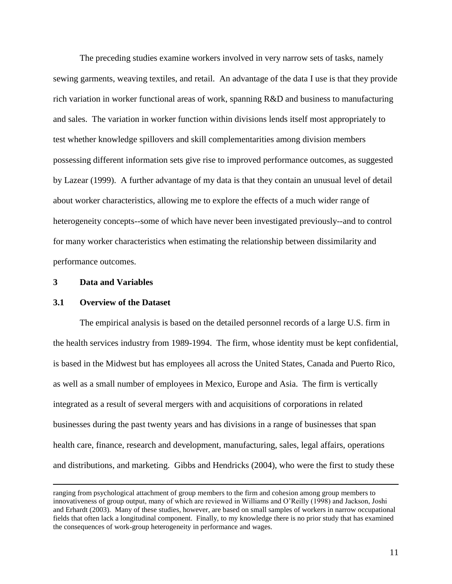The preceding studies examine workers involved in very narrow sets of tasks, namely sewing garments, weaving textiles, and retail. An advantage of the data I use is that they provide rich variation in worker functional areas of work, spanning R&D and business to manufacturing and sales. The variation in worker function within divisions lends itself most appropriately to test whether knowledge spillovers and skill complementarities among division members possessing different information sets give rise to improved performance outcomes, as suggested by Lazear (1999). A further advantage of my data is that they contain an unusual level of detail about worker characteristics, allowing me to explore the effects of a much wider range of heterogeneity concepts--some of which have never been investigated previously--and to control for many worker characteristics when estimating the relationship between dissimilarity and performance outcomes.

#### **3 Data and Variables**

 $\overline{a}$ 

#### **3.1 Overview of the Dataset**

The empirical analysis is based on the detailed personnel records of a large U.S. firm in the health services industry from 1989-1994. The firm, whose identity must be kept confidential, is based in the Midwest but has employees all across the United States, Canada and Puerto Rico, as well as a small number of employees in Mexico, Europe and Asia. The firm is vertically integrated as a result of several mergers with and acquisitions of corporations in related businesses during the past twenty years and has divisions in a range of businesses that span health care, finance, research and development, manufacturing, sales, legal affairs, operations and distributions, and marketing. Gibbs and Hendricks (2004), who were the first to study these

ranging from psychological attachment of group members to the firm and cohesion among group members to innovativeness of group output, many of which are reviewed in Williams and O"Reilly (1998) and Jackson, Joshi and Erhardt (2003). Many of these studies, however, are based on small samples of workers in narrow occupational fields that often lack a longitudinal component. Finally, to my knowledge there is no prior study that has examined the consequences of work-group heterogeneity in performance and wages.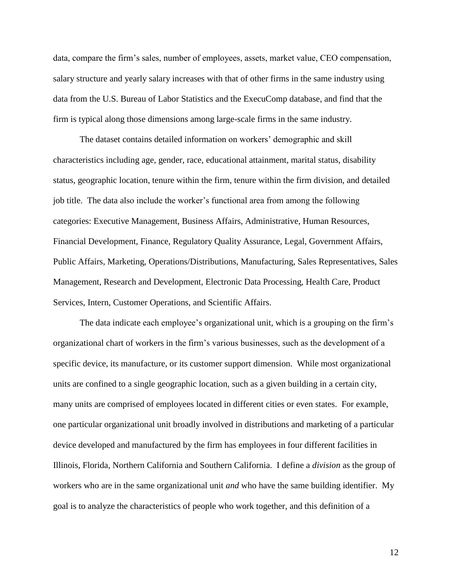data, compare the firm"s sales, number of employees, assets, market value, CEO compensation, salary structure and yearly salary increases with that of other firms in the same industry using data from the U.S. Bureau of Labor Statistics and the ExecuComp database, and find that the firm is typical along those dimensions among large-scale firms in the same industry.

The dataset contains detailed information on workers' demographic and skill characteristics including age, gender, race, educational attainment, marital status, disability status, geographic location, tenure within the firm, tenure within the firm division, and detailed job title. The data also include the worker's functional area from among the following categories: Executive Management, Business Affairs, Administrative, Human Resources, Financial Development, Finance, Regulatory Quality Assurance, Legal, Government Affairs, Public Affairs, Marketing, Operations/Distributions, Manufacturing, Sales Representatives, Sales Management, Research and Development, Electronic Data Processing, Health Care, Product Services, Intern, Customer Operations, and Scientific Affairs.

The data indicate each employee's organizational unit, which is a grouping on the firm's organizational chart of workers in the firm"s various businesses, such as the development of a specific device, its manufacture, or its customer support dimension. While most organizational units are confined to a single geographic location, such as a given building in a certain city, many units are comprised of employees located in different cities or even states. For example, one particular organizational unit broadly involved in distributions and marketing of a particular device developed and manufactured by the firm has employees in four different facilities in Illinois, Florida, Northern California and Southern California. I define a *division* as the group of workers who are in the same organizational unit *and* who have the same building identifier. My goal is to analyze the characteristics of people who work together, and this definition of a

12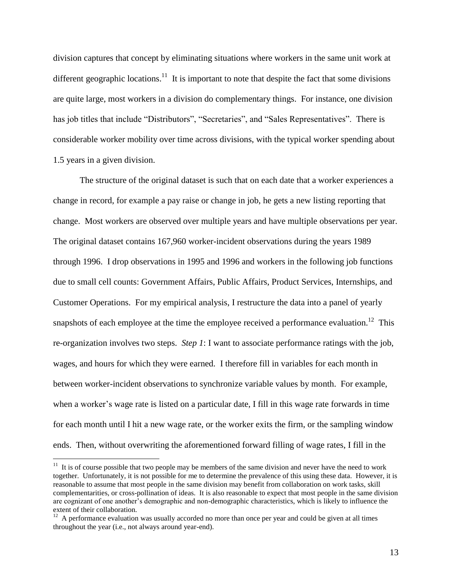division captures that concept by eliminating situations where workers in the same unit work at different geographic locations.<sup>11</sup> It is important to note that despite the fact that some divisions are quite large, most workers in a division do complementary things. For instance, one division has job titles that include "Distributors", "Secretaries", and "Sales Representatives". There is considerable worker mobility over time across divisions, with the typical worker spending about 1.5 years in a given division.

The structure of the original dataset is such that on each date that a worker experiences a change in record, for example a pay raise or change in job, he gets a new listing reporting that change. Most workers are observed over multiple years and have multiple observations per year. The original dataset contains 167,960 worker-incident observations during the years 1989 through 1996. I drop observations in 1995 and 1996 and workers in the following job functions due to small cell counts: Government Affairs, Public Affairs, Product Services, Internships, and Customer Operations. For my empirical analysis, I restructure the data into a panel of yearly snapshots of each employee at the time the employee received a performance evaluation.<sup>12</sup> This re-organization involves two steps. *Step 1*: I want to associate performance ratings with the job, wages, and hours for which they were earned. I therefore fill in variables for each month in between worker-incident observations to synchronize variable values by month. For example, when a worker's wage rate is listed on a particular date, I fill in this wage rate forwards in time for each month until I hit a new wage rate, or the worker exits the firm, or the sampling window ends. Then, without overwriting the aforementioned forward filling of wage rates, I fill in the

 $\overline{a}$ 

 $11$  It is of course possible that two people may be members of the same division and never have the need to work together. Unfortunately, it is not possible for me to determine the prevalence of this using these data. However, it is reasonable to assume that most people in the same division may benefit from collaboration on work tasks, skill complementarities, or cross-pollination of ideas. It is also reasonable to expect that most people in the same division are cognizant of one another"s demographic and non-demographic characteristics, which is likely to influence the extent of their collaboration.

 $12$  A performance evaluation was usually accorded no more than once per year and could be given at all times throughout the year (i.e., not always around year-end).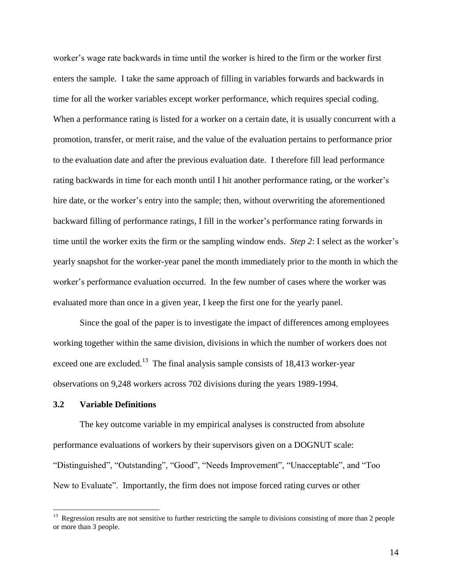worker"s wage rate backwards in time until the worker is hired to the firm or the worker first enters the sample. I take the same approach of filling in variables forwards and backwards in time for all the worker variables except worker performance, which requires special coding. When a performance rating is listed for a worker on a certain date, it is usually concurrent with a promotion, transfer, or merit raise, and the value of the evaluation pertains to performance prior to the evaluation date and after the previous evaluation date. I therefore fill lead performance rating backwards in time for each month until I hit another performance rating, or the worker"s hire date, or the worker's entry into the sample; then, without overwriting the aforementioned backward filling of performance ratings, I fill in the worker"s performance rating forwards in time until the worker exits the firm or the sampling window ends. *Step 2*: I select as the worker"s yearly snapshot for the worker-year panel the month immediately prior to the month in which the worker"s performance evaluation occurred. In the few number of cases where the worker was evaluated more than once in a given year, I keep the first one for the yearly panel.

Since the goal of the paper is to investigate the impact of differences among employees working together within the same division, divisions in which the number of workers does not exceed one are excluded.<sup>13</sup> The final analysis sample consists of 18,413 worker-year observations on 9,248 workers across 702 divisions during the years 1989-1994.

#### **3.2 Variable Definitions**

The key outcome variable in my empirical analyses is constructed from absolute performance evaluations of workers by their supervisors given on a DOGNUT scale: "Distinguished", "Outstanding", "Good", "Needs Improvement", "Unacceptable", and "Too New to Evaluate". Importantly, the firm does not impose forced rating curves or other

<sup>&</sup>lt;sup>13</sup> Regression results are not sensitive to further restricting the sample to divisions consisting of more than 2 people or more than 3 people.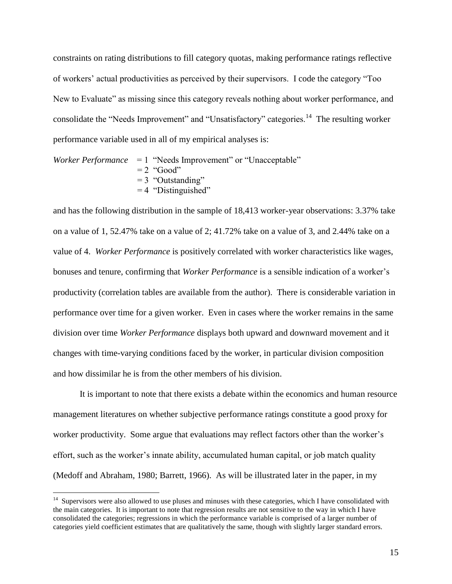constraints on rating distributions to fill category quotas, making performance ratings reflective of workers" actual productivities as perceived by their supervisors. I code the category "Too New to Evaluate" as missing since this category reveals nothing about worker performance, and consolidate the "Needs Improvement" and "Unsatisfactory" categories.<sup>14</sup> The resulting worker performance variable used in all of my empirical analyses is:

*Worker Performance* = 1 "Needs Improvement" or "Unacceptable" = 2 "Good" = 3 "Outstanding" = 4 "Distinguished"

and has the following distribution in the sample of 18,413 worker-year observations: 3.37% take on a value of 1, 52.47% take on a value of 2; 41.72% take on a value of 3, and 2.44% take on a value of 4. *Worker Performance* is positively correlated with worker characteristics like wages, bonuses and tenure, confirming that *Worker Performance* is a sensible indication of a worker"s productivity (correlation tables are available from the author). There is considerable variation in performance over time for a given worker. Even in cases where the worker remains in the same division over time *Worker Performance* displays both upward and downward movement and it changes with time-varying conditions faced by the worker, in particular division composition and how dissimilar he is from the other members of his division.

It is important to note that there exists a debate within the economics and human resource management literatures on whether subjective performance ratings constitute a good proxy for worker productivity. Some argue that evaluations may reflect factors other than the worker's effort, such as the worker"s innate ability, accumulated human capital, or job match quality (Medoff and Abraham, 1980; Barrett, 1966). As will be illustrated later in the paper, in my

 $\overline{a}$ 

<sup>&</sup>lt;sup>14</sup> Supervisors were also allowed to use pluses and minuses with these categories, which I have consolidated with the main categories. It is important to note that regression results are not sensitive to the way in which I have consolidated the categories; regressions in which the performance variable is comprised of a larger number of categories yield coefficient estimates that are qualitatively the same, though with slightly larger standard errors.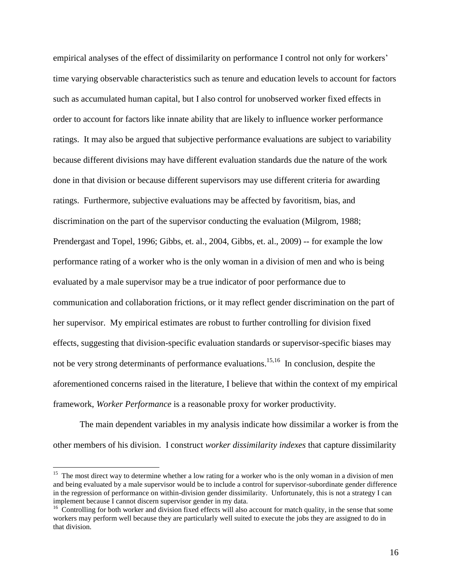empirical analyses of the effect of dissimilarity on performance I control not only for workers' time varying observable characteristics such as tenure and education levels to account for factors such as accumulated human capital, but I also control for unobserved worker fixed effects in order to account for factors like innate ability that are likely to influence worker performance ratings. It may also be argued that subjective performance evaluations are subject to variability because different divisions may have different evaluation standards due the nature of the work done in that division or because different supervisors may use different criteria for awarding ratings. Furthermore, subjective evaluations may be affected by favoritism, bias, and discrimination on the part of the supervisor conducting the evaluation (Milgrom, 1988; Prendergast and Topel, 1996; Gibbs, et. al., 2004, Gibbs, et. al., 2009) -- for example the low performance rating of a worker who is the only woman in a division of men and who is being evaluated by a male supervisor may be a true indicator of poor performance due to communication and collaboration frictions, or it may reflect gender discrimination on the part of her supervisor. My empirical estimates are robust to further controlling for division fixed effects, suggesting that division-specific evaluation standards or supervisor-specific biases may not be very strong determinants of performance evaluations.<sup>15,16</sup> In conclusion, despite the aforementioned concerns raised in the literature, I believe that within the context of my empirical framework, *Worker Performance* is a reasonable proxy for worker productivity.

The main dependent variables in my analysis indicate how dissimilar a worker is from the other members of his division. I construct *worker dissimilarity indexes* that capture dissimilarity

<sup>&</sup>lt;sup>15</sup> The most direct way to determine whether a low rating for a worker who is the only woman in a division of men and being evaluated by a male supervisor would be to include a control for supervisor-subordinate gender difference in the regression of performance on within-division gender dissimilarity. Unfortunately, this is not a strategy I can implement because I cannot discern supervisor gender in my data.

<sup>&</sup>lt;sup>16</sup> Controlling for both worker and division fixed effects will also account for match quality, in the sense that some workers may perform well because they are particularly well suited to execute the jobs they are assigned to do in that division.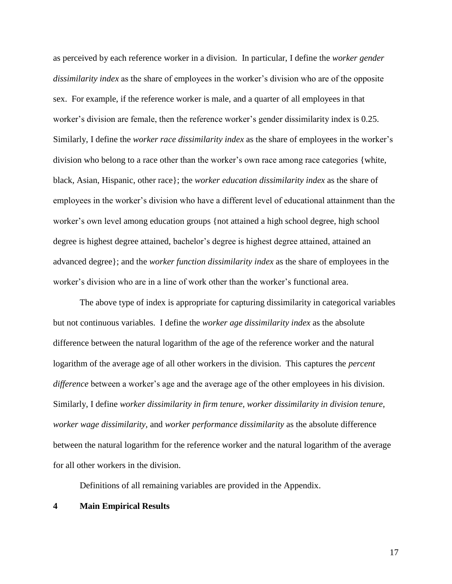as perceived by each reference worker in a division. In particular, I define the *worker gender dissimilarity index* as the share of employees in the worker's division who are of the opposite sex. For example, if the reference worker is male, and a quarter of all employees in that worker's division are female, then the reference worker's gender dissimilarity index is 0.25. Similarly, I define the *worker race dissimilarity index* as the share of employees in the worker"s division who belong to a race other than the worker"s own race among race categories {white, black, Asian, Hispanic, other race}; the *worker education dissimilarity index* as the share of employees in the worker"s division who have a different level of educational attainment than the worker"s own level among education groups {not attained a high school degree, high school degree is highest degree attained, bachelor"s degree is highest degree attained, attained an advanced degree}; and the *worker function dissimilarity index* as the share of employees in the worker's division who are in a line of work other than the worker's functional area.

The above type of index is appropriate for capturing dissimilarity in categorical variables but not continuous variables. I define the *worker age dissimilarity index* as the absolute difference between the natural logarithm of the age of the reference worker and the natural logarithm of the average age of all other workers in the division. This captures the *percent difference* between a worker's age and the average age of the other employees in his division. Similarly, I define *worker dissimilarity in firm tenure, worker dissimilarity in division tenure, worker wage dissimilarity,* and *worker performance dissimilarity* as the absolute difference between the natural logarithm for the reference worker and the natural logarithm of the average for all other workers in the division.

Definitions of all remaining variables are provided in the Appendix.

#### **4 Main Empirical Results**

17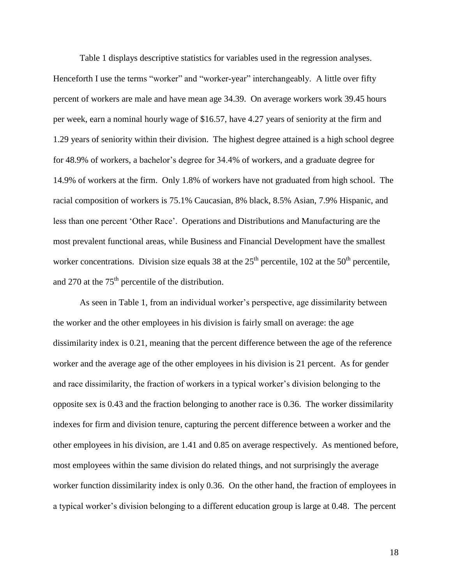Table 1 displays descriptive statistics for variables used in the regression analyses. Henceforth I use the terms "worker" and "worker-year" interchangeably. A little over fifty percent of workers are male and have mean age 34.39. On average workers work 39.45 hours per week, earn a nominal hourly wage of \$16.57, have 4.27 years of seniority at the firm and 1.29 years of seniority within their division. The highest degree attained is a high school degree for 48.9% of workers, a bachelor's degree for 34.4% of workers, and a graduate degree for 14.9% of workers at the firm. Only 1.8% of workers have not graduated from high school. The racial composition of workers is 75.1% Caucasian, 8% black, 8.5% Asian, 7.9% Hispanic, and less than one percent "Other Race". Operations and Distributions and Manufacturing are the most prevalent functional areas, while Business and Financial Development have the smallest worker concentrations. Division size equals 38 at the  $25<sup>th</sup>$  percentile, 102 at the  $50<sup>th</sup>$  percentile, and 270 at the  $75<sup>th</sup>$  percentile of the distribution.

As seen in Table 1, from an individual worker's perspective, age dissimilarity between the worker and the other employees in his division is fairly small on average: the age dissimilarity index is 0.21, meaning that the percent difference between the age of the reference worker and the average age of the other employees in his division is 21 percent. As for gender and race dissimilarity, the fraction of workers in a typical worker"s division belonging to the opposite sex is 0.43 and the fraction belonging to another race is 0.36. The worker dissimilarity indexes for firm and division tenure, capturing the percent difference between a worker and the other employees in his division, are 1.41 and 0.85 on average respectively. As mentioned before, most employees within the same division do related things, and not surprisingly the average worker function dissimilarity index is only 0.36. On the other hand, the fraction of employees in a typical worker"s division belonging to a different education group is large at 0.48. The percent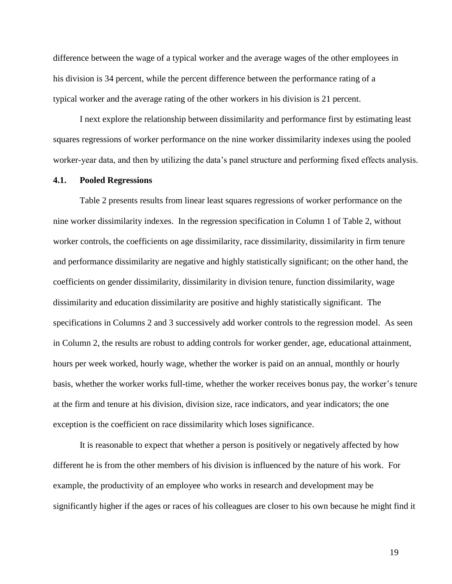difference between the wage of a typical worker and the average wages of the other employees in his division is 34 percent, while the percent difference between the performance rating of a typical worker and the average rating of the other workers in his division is 21 percent.

I next explore the relationship between dissimilarity and performance first by estimating least squares regressions of worker performance on the nine worker dissimilarity indexes using the pooled worker-year data, and then by utilizing the data"s panel structure and performing fixed effects analysis.

#### **4.1. Pooled Regressions**

Table 2 presents results from linear least squares regressions of worker performance on the nine worker dissimilarity indexes. In the regression specification in Column 1 of Table 2, without worker controls, the coefficients on age dissimilarity, race dissimilarity, dissimilarity in firm tenure and performance dissimilarity are negative and highly statistically significant; on the other hand, the coefficients on gender dissimilarity, dissimilarity in division tenure, function dissimilarity, wage dissimilarity and education dissimilarity are positive and highly statistically significant. The specifications in Columns 2 and 3 successively add worker controls to the regression model. As seen in Column 2, the results are robust to adding controls for worker gender, age, educational attainment, hours per week worked, hourly wage, whether the worker is paid on an annual, monthly or hourly basis, whether the worker works full-time, whether the worker receives bonus pay, the worker"s tenure at the firm and tenure at his division, division size, race indicators, and year indicators; the one exception is the coefficient on race dissimilarity which loses significance.

It is reasonable to expect that whether a person is positively or negatively affected by how different he is from the other members of his division is influenced by the nature of his work. For example, the productivity of an employee who works in research and development may be significantly higher if the ages or races of his colleagues are closer to his own because he might find it

19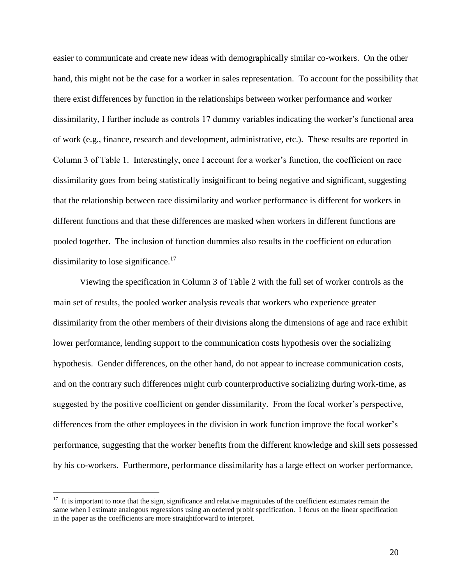easier to communicate and create new ideas with demographically similar co-workers. On the other hand, this might not be the case for a worker in sales representation. To account for the possibility that there exist differences by function in the relationships between worker performance and worker dissimilarity, I further include as controls 17 dummy variables indicating the worker"s functional area of work (e.g., finance, research and development, administrative, etc.). These results are reported in Column 3 of Table 1. Interestingly, once I account for a worker"s function, the coefficient on race dissimilarity goes from being statistically insignificant to being negative and significant, suggesting that the relationship between race dissimilarity and worker performance is different for workers in different functions and that these differences are masked when workers in different functions are pooled together. The inclusion of function dummies also results in the coefficient on education dissimilarity to lose significance.<sup>17</sup>

Viewing the specification in Column 3 of Table 2 with the full set of worker controls as the main set of results, the pooled worker analysis reveals that workers who experience greater dissimilarity from the other members of their divisions along the dimensions of age and race exhibit lower performance, lending support to the communication costs hypothesis over the socializing hypothesis. Gender differences, on the other hand, do not appear to increase communication costs, and on the contrary such differences might curb counterproductive socializing during work-time, as suggested by the positive coefficient on gender dissimilarity. From the focal worker's perspective, differences from the other employees in the division in work function improve the focal worker"s performance, suggesting that the worker benefits from the different knowledge and skill sets possessed by his co-workers. Furthermore, performance dissimilarity has a large effect on worker performance,

 $\overline{a}$ 

 $17$  It is important to note that the sign, significance and relative magnitudes of the coefficient estimates remain the same when I estimate analogous regressions using an ordered probit specification. I focus on the linear specification in the paper as the coefficients are more straightforward to interpret.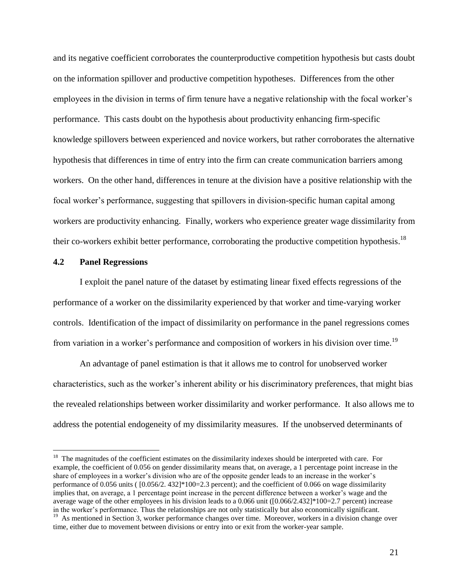and its negative coefficient corroborates the counterproductive competition hypothesis but casts doubt on the information spillover and productive competition hypotheses. Differences from the other employees in the division in terms of firm tenure have a negative relationship with the focal worker"s performance. This casts doubt on the hypothesis about productivity enhancing firm-specific knowledge spillovers between experienced and novice workers, but rather corroborates the alternative hypothesis that differences in time of entry into the firm can create communication barriers among workers. On the other hand, differences in tenure at the division have a positive relationship with the focal worker's performance, suggesting that spillovers in division-specific human capital among workers are productivity enhancing. Finally, workers who experience greater wage dissimilarity from their co-workers exhibit better performance, corroborating the productive competition hypothesis.<sup>18</sup>

#### **4.2 Panel Regressions**

 $\overline{a}$ 

I exploit the panel nature of the dataset by estimating linear fixed effects regressions of the performance of a worker on the dissimilarity experienced by that worker and time-varying worker controls. Identification of the impact of dissimilarity on performance in the panel regressions comes from variation in a worker's performance and composition of workers in his division over time.<sup>19</sup>

An advantage of panel estimation is that it allows me to control for unobserved worker characteristics, such as the worker"s inherent ability or his discriminatory preferences, that might bias the revealed relationships between worker dissimilarity and worker performance. It also allows me to address the potential endogeneity of my dissimilarity measures. If the unobserved determinants of

<sup>&</sup>lt;sup>18</sup> The magnitudes of the coefficient estimates on the dissimilarity indexes should be interpreted with care. For example, the coefficient of 0.056 on gender dissimilarity means that, on average, a 1 percentage point increase in the share of employees in a worker"s division who are of the opposite gender leads to an increase in the worker"s performance of 0.056 units ( [0.056/2. 432]\*100=2.3 percent); and the coefficient of 0.066 on wage dissimilarity implies that, on average, a 1 percentage point increase in the percent difference between a worker"s wage and the average wage of the other employees in his division leads to a 0.066 unit ([0.066/2.432]\*100=2.7 percent) increase in the worker"s performance. Thus the relationships are not only statistically but also economically significant.

<sup>&</sup>lt;sup>19</sup> As mentioned in Section 3, worker performance changes over time. Moreover, workers in a division change over time, either due to movement between divisions or entry into or exit from the worker-year sample.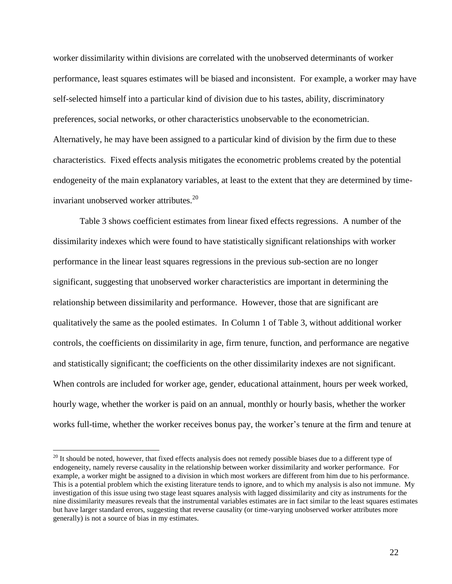worker dissimilarity within divisions are correlated with the unobserved determinants of worker performance, least squares estimates will be biased and inconsistent. For example, a worker may have self-selected himself into a particular kind of division due to his tastes, ability, discriminatory preferences, social networks, or other characteristics unobservable to the econometrician. Alternatively, he may have been assigned to a particular kind of division by the firm due to these characteristics. Fixed effects analysis mitigates the econometric problems created by the potential endogeneity of the main explanatory variables, at least to the extent that they are determined by timeinvariant unobserved worker attributes.<sup>20</sup>

Table 3 shows coefficient estimates from linear fixed effects regressions. A number of the dissimilarity indexes which were found to have statistically significant relationships with worker performance in the linear least squares regressions in the previous sub-section are no longer significant, suggesting that unobserved worker characteristics are important in determining the relationship between dissimilarity and performance. However, those that are significant are qualitatively the same as the pooled estimates. In Column 1 of Table 3, without additional worker controls, the coefficients on dissimilarity in age, firm tenure, function, and performance are negative and statistically significant; the coefficients on the other dissimilarity indexes are not significant. When controls are included for worker age, gender, educational attainment, hours per week worked, hourly wage, whether the worker is paid on an annual, monthly or hourly basis, whether the worker works full-time, whether the worker receives bonus pay, the worker"s tenure at the firm and tenure at

 $\overline{a}$ 

<sup>&</sup>lt;sup>20</sup> It should be noted, however, that fixed effects analysis does not remedy possible biases due to a different type of endogeneity, namely reverse causality in the relationship between worker dissimilarity and worker performance. For example, a worker might be assigned to a division in which most workers are different from him due to his performance. This is a potential problem which the existing literature tends to ignore, and to which my analysis is also not immune. My investigation of this issue using two stage least squares analysis with lagged dissimilarity and city as instruments for the nine dissimilarity measures reveals that the instrumental variables estimates are in fact similar to the least squares estimates but have larger standard errors, suggesting that reverse causality (or time-varying unobserved worker attributes more generally) is not a source of bias in my estimates.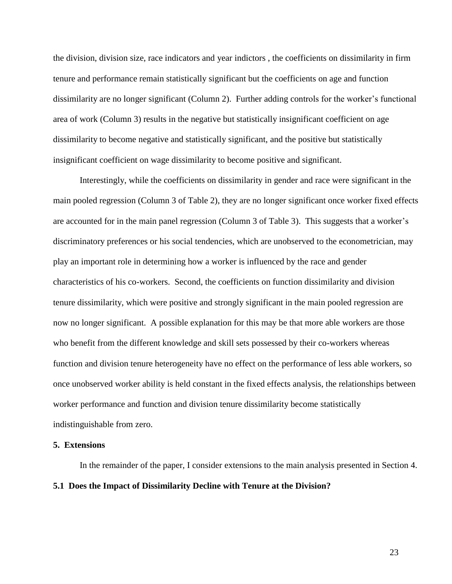the division, division size, race indicators and year indictors , the coefficients on dissimilarity in firm tenure and performance remain statistically significant but the coefficients on age and function dissimilarity are no longer significant (Column 2). Further adding controls for the worker"s functional area of work (Column 3) results in the negative but statistically insignificant coefficient on age dissimilarity to become negative and statistically significant, and the positive but statistically insignificant coefficient on wage dissimilarity to become positive and significant.

Interestingly, while the coefficients on dissimilarity in gender and race were significant in the main pooled regression (Column 3 of Table 2), they are no longer significant once worker fixed effects are accounted for in the main panel regression (Column 3 of Table 3). This suggests that a worker"s discriminatory preferences or his social tendencies, which are unobserved to the econometrician, may play an important role in determining how a worker is influenced by the race and gender characteristics of his co-workers. Second, the coefficients on function dissimilarity and division tenure dissimilarity, which were positive and strongly significant in the main pooled regression are now no longer significant. A possible explanation for this may be that more able workers are those who benefit from the different knowledge and skill sets possessed by their co-workers whereas function and division tenure heterogeneity have no effect on the performance of less able workers, so once unobserved worker ability is held constant in the fixed effects analysis, the relationships between worker performance and function and division tenure dissimilarity become statistically indistinguishable from zero.

#### **5. Extensions**

In the remainder of the paper, I consider extensions to the main analysis presented in Section 4. **5.1 Does the Impact of Dissimilarity Decline with Tenure at the Division?**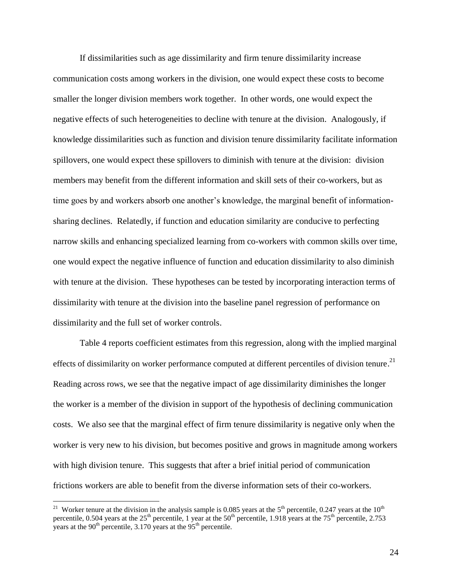If dissimilarities such as age dissimilarity and firm tenure dissimilarity increase communication costs among workers in the division, one would expect these costs to become smaller the longer division members work together. In other words, one would expect the negative effects of such heterogeneities to decline with tenure at the division. Analogously, if knowledge dissimilarities such as function and division tenure dissimilarity facilitate information spillovers, one would expect these spillovers to diminish with tenure at the division: division members may benefit from the different information and skill sets of their co-workers, but as time goes by and workers absorb one another's knowledge, the marginal benefit of informationsharing declines. Relatedly, if function and education similarity are conducive to perfecting narrow skills and enhancing specialized learning from co-workers with common skills over time, one would expect the negative influence of function and education dissimilarity to also diminish with tenure at the division. These hypotheses can be tested by incorporating interaction terms of dissimilarity with tenure at the division into the baseline panel regression of performance on dissimilarity and the full set of worker controls.

Table 4 reports coefficient estimates from this regression, along with the implied marginal effects of dissimilarity on worker performance computed at different percentiles of division tenure.<sup>21</sup> Reading across rows, we see that the negative impact of age dissimilarity diminishes the longer the worker is a member of the division in support of the hypothesis of declining communication costs. We also see that the marginal effect of firm tenure dissimilarity is negative only when the worker is very new to his division, but becomes positive and grows in magnitude among workers with high division tenure. This suggests that after a brief initial period of communication frictions workers are able to benefit from the diverse information sets of their co-workers.

<sup>&</sup>lt;sup>21</sup> Worker tenure at the division in the analysis sample is 0.085 years at the 5<sup>th</sup> percentile, 0.247 years at the 10<sup>th</sup> percentile, 0.504 years at the  $25<sup>th</sup>$  percentile, 1 year at the  $50<sup>th</sup>$  percentile, 1.918 years at the  $75<sup>th</sup>$  percentile, 2.753 years at the  $90<sup>th</sup>$  percentile, 3.170 years at the  $95<sup>th</sup>$  percentile.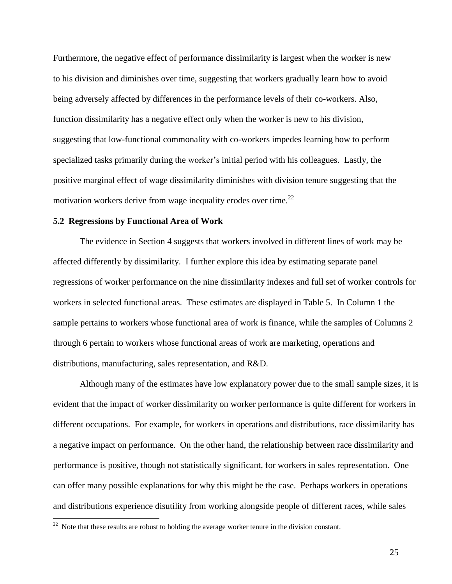Furthermore, the negative effect of performance dissimilarity is largest when the worker is new to his division and diminishes over time, suggesting that workers gradually learn how to avoid being adversely affected by differences in the performance levels of their co-workers. Also, function dissimilarity has a negative effect only when the worker is new to his division, suggesting that low-functional commonality with co-workers impedes learning how to perform specialized tasks primarily during the worker's initial period with his colleagues. Lastly, the positive marginal effect of wage dissimilarity diminishes with division tenure suggesting that the motivation workers derive from wage inequality erodes over time.<sup>22</sup>

#### **5.2 Regressions by Functional Area of Work**

The evidence in Section 4 suggests that workers involved in different lines of work may be affected differently by dissimilarity. I further explore this idea by estimating separate panel regressions of worker performance on the nine dissimilarity indexes and full set of worker controls for workers in selected functional areas. These estimates are displayed in Table 5. In Column 1 the sample pertains to workers whose functional area of work is finance, while the samples of Columns 2 through 6 pertain to workers whose functional areas of work are marketing, operations and distributions, manufacturing, sales representation, and R&D.

Although many of the estimates have low explanatory power due to the small sample sizes, it is evident that the impact of worker dissimilarity on worker performance is quite different for workers in different occupations. For example, for workers in operations and distributions, race dissimilarity has a negative impact on performance. On the other hand, the relationship between race dissimilarity and performance is positive, though not statistically significant, for workers in sales representation. One can offer many possible explanations for why this might be the case. Perhaps workers in operations and distributions experience disutility from working alongside people of different races, while sales

<sup>&</sup>lt;sup>22</sup> Note that these results are robust to holding the average worker tenure in the division constant.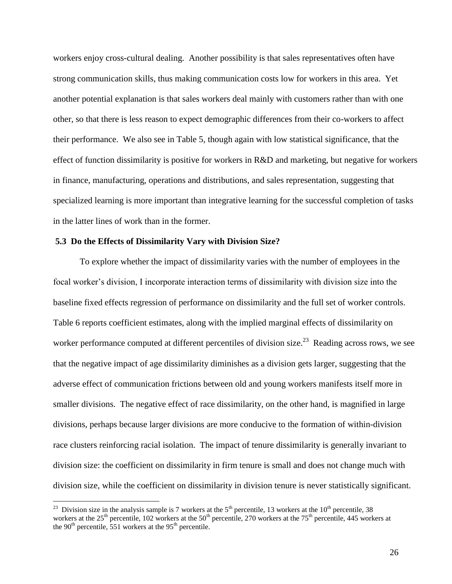workers enjoy cross-cultural dealing. Another possibility is that sales representatives often have strong communication skills, thus making communication costs low for workers in this area. Yet another potential explanation is that sales workers deal mainly with customers rather than with one other, so that there is less reason to expect demographic differences from their co-workers to affect their performance. We also see in Table 5, though again with low statistical significance, that the effect of function dissimilarity is positive for workers in R&D and marketing, but negative for workers in finance, manufacturing, operations and distributions, and sales representation, suggesting that specialized learning is more important than integrative learning for the successful completion of tasks in the latter lines of work than in the former.

#### **5.3 Do the Effects of Dissimilarity Vary with Division Size?**

To explore whether the impact of dissimilarity varies with the number of employees in the focal worker"s division, I incorporate interaction terms of dissimilarity with division size into the baseline fixed effects regression of performance on dissimilarity and the full set of worker controls. Table 6 reports coefficient estimates, along with the implied marginal effects of dissimilarity on worker performance computed at different percentiles of division size.<sup>23</sup> Reading across rows, we see that the negative impact of age dissimilarity diminishes as a division gets larger, suggesting that the adverse effect of communication frictions between old and young workers manifests itself more in smaller divisions. The negative effect of race dissimilarity, on the other hand, is magnified in large divisions, perhaps because larger divisions are more conducive to the formation of within-division race clusters reinforcing racial isolation. The impact of tenure dissimilarity is generally invariant to division size: the coefficient on dissimilarity in firm tenure is small and does not change much with division size, while the coefficient on dissimilarity in division tenure is never statistically significant.

<sup>&</sup>lt;sup>23</sup> Division size in the analysis sample is 7 workers at the 5<sup>th</sup> percentile, 13 workers at the 10<sup>th</sup> percentile, 38 workers at the  $25<sup>th</sup>$  percentile, 102 workers at the  $50<sup>th</sup>$  percentile, 270 workers at the  $75<sup>th</sup>$  percentile, 445 workers at the  $90<sup>th</sup>$  percentile, 551 workers at the  $95<sup>th</sup>$  percentile.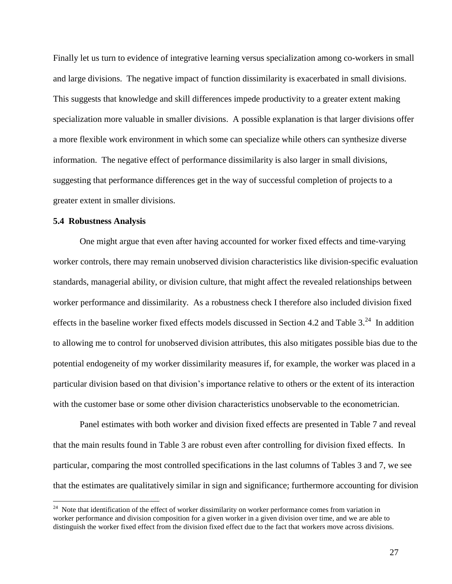Finally let us turn to evidence of integrative learning versus specialization among co-workers in small and large divisions. The negative impact of function dissimilarity is exacerbated in small divisions. This suggests that knowledge and skill differences impede productivity to a greater extent making specialization more valuable in smaller divisions. A possible explanation is that larger divisions offer a more flexible work environment in which some can specialize while others can synthesize diverse information. The negative effect of performance dissimilarity is also larger in small divisions, suggesting that performance differences get in the way of successful completion of projects to a greater extent in smaller divisions.

#### **5.4 Robustness Analysis**

 $\overline{a}$ 

One might argue that even after having accounted for worker fixed effects and time-varying worker controls, there may remain unobserved division characteristics like division-specific evaluation standards, managerial ability, or division culture, that might affect the revealed relationships between worker performance and dissimilarity. As a robustness check I therefore also included division fixed effects in the baseline worker fixed effects models discussed in Section 4.2 and Table  $3.^{24}$  In addition to allowing me to control for unobserved division attributes, this also mitigates possible bias due to the potential endogeneity of my worker dissimilarity measures if, for example, the worker was placed in a particular division based on that division"s importance relative to others or the extent of its interaction with the customer base or some other division characteristics unobservable to the econometrician.

Panel estimates with both worker and division fixed effects are presented in Table 7 and reveal that the main results found in Table 3 are robust even after controlling for division fixed effects. In particular, comparing the most controlled specifications in the last columns of Tables 3 and 7, we see that the estimates are qualitatively similar in sign and significance; furthermore accounting for division

<sup>&</sup>lt;sup>24</sup> Note that identification of the effect of worker dissimilarity on worker performance comes from variation in worker performance and division composition for a given worker in a given division over time, and we are able to distinguish the worker fixed effect from the division fixed effect due to the fact that workers move across divisions.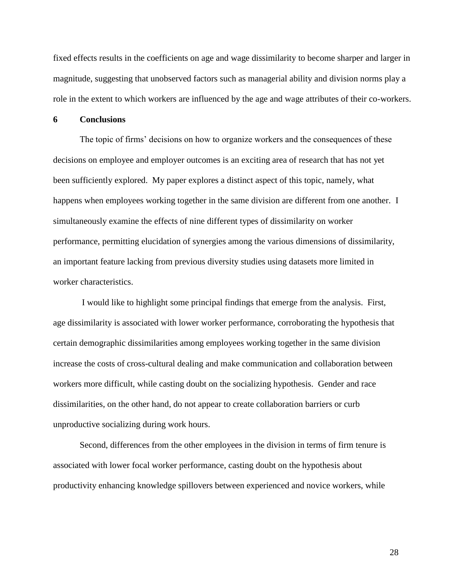fixed effects results in the coefficients on age and wage dissimilarity to become sharper and larger in magnitude, suggesting that unobserved factors such as managerial ability and division norms play a role in the extent to which workers are influenced by the age and wage attributes of their co-workers.

#### **6 Conclusions**

The topic of firms' decisions on how to organize workers and the consequences of these decisions on employee and employer outcomes is an exciting area of research that has not yet been sufficiently explored. My paper explores a distinct aspect of this topic, namely, what happens when employees working together in the same division are different from one another. I simultaneously examine the effects of nine different types of dissimilarity on worker performance, permitting elucidation of synergies among the various dimensions of dissimilarity, an important feature lacking from previous diversity studies using datasets more limited in worker characteristics.

I would like to highlight some principal findings that emerge from the analysis. First, age dissimilarity is associated with lower worker performance, corroborating the hypothesis that certain demographic dissimilarities among employees working together in the same division increase the costs of cross-cultural dealing and make communication and collaboration between workers more difficult, while casting doubt on the socializing hypothesis. Gender and race dissimilarities, on the other hand, do not appear to create collaboration barriers or curb unproductive socializing during work hours.

Second, differences from the other employees in the division in terms of firm tenure is associated with lower focal worker performance, casting doubt on the hypothesis about productivity enhancing knowledge spillovers between experienced and novice workers, while

28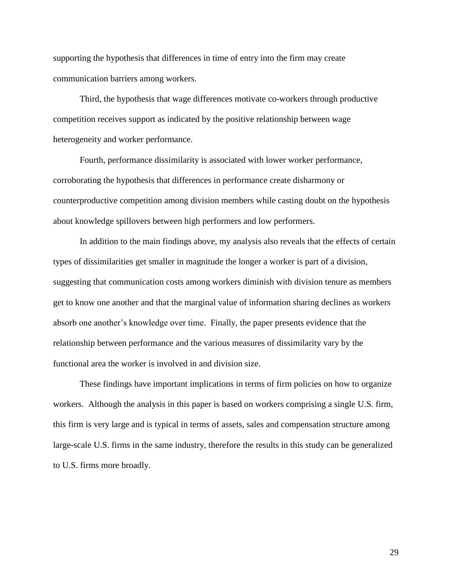supporting the hypothesis that differences in time of entry into the firm may create communication barriers among workers.

Third, the hypothesis that wage differences motivate co-workers through productive competition receives support as indicated by the positive relationship between wage heterogeneity and worker performance.

Fourth, performance dissimilarity is associated with lower worker performance, corroborating the hypothesis that differences in performance create disharmony or counterproductive competition among division members while casting doubt on the hypothesis about knowledge spillovers between high performers and low performers.

In addition to the main findings above, my analysis also reveals that the effects of certain types of dissimilarities get smaller in magnitude the longer a worker is part of a division, suggesting that communication costs among workers diminish with division tenure as members get to know one another and that the marginal value of information sharing declines as workers absorb one another"s knowledge over time. Finally, the paper presents evidence that the relationship between performance and the various measures of dissimilarity vary by the functional area the worker is involved in and division size.

These findings have important implications in terms of firm policies on how to organize workers. Although the analysis in this paper is based on workers comprising a single U.S. firm, this firm is very large and is typical in terms of assets, sales and compensation structure among large-scale U.S. firms in the same industry, therefore the results in this study can be generalized to U.S. firms more broadly.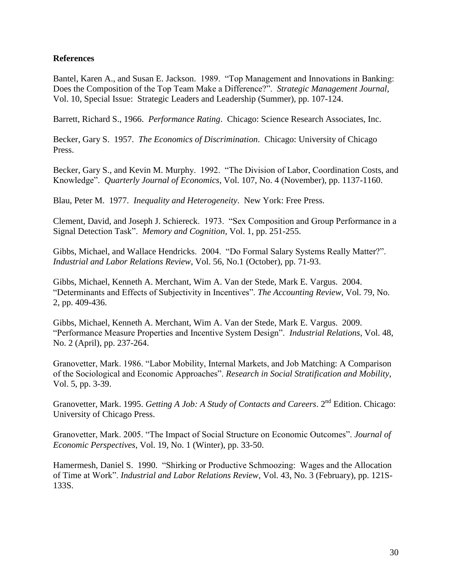#### **References**

Bantel, Karen A., and Susan E. Jackson. 1989. "Top Management and Innovations in Banking: Does the Composition of the Top Team Make a Difference?". *Strategic Management Journal*, Vol. 10, Special Issue: Strategic Leaders and Leadership (Summer), pp. 107-124.

Barrett, Richard S., 1966. *Performance Rating*. Chicago: Science Research Associates, Inc.

Becker, Gary S. 1957. *The Economics of Discrimination*. Chicago: University of Chicago Press.

Becker, Gary S., and Kevin M. Murphy. 1992. "The Division of Labor, Coordination Costs, and Knowledge". *Quarterly Journal of Economics*, Vol. 107, No. 4 (November), pp. 1137-1160.

Blau, Peter M. 1977. *Inequality and Heterogeneity*. New York: Free Press.

Clement, David, and Joseph J. Schiereck. 1973. "Sex Composition and Group Performance in a Signal Detection Task". *Memory and Cognition*, Vol. 1, pp. 251-255.

Gibbs, Michael, and Wallace Hendricks. 2004. "Do Formal Salary Systems Really Matter?". *Industrial and Labor Relations Review*, Vol. 56, No.1 (October), pp. 71-93.

Gibbs, Michael, Kenneth A. Merchant, Wim A. Van der Stede, Mark E. Vargus. 2004. "Determinants and Effects of Subjectivity in Incentives". *The Accounting Review*, Vol. 79, No. 2, pp. 409-436.

Gibbs, Michael, Kenneth A. Merchant, Wim A. Van der Stede, Mark E. Vargus. 2009. "Performance Measure Properties and Incentive System Design". *Industrial Relations*, Vol. 48, No. 2 (April), pp. 237-264.

Granovetter, Mark. 1986. "Labor Mobility, Internal Markets, and Job Matching: A Comparison of the Sociological and Economic Approaches". *Research in Social Stratification and Mobility*, Vol. 5, pp. 3-39.

Granovetter, Mark. 1995. *Getting A Job: A Study of Contacts and Careers*. 2<sup>nd</sup> Edition. Chicago: University of Chicago Press.

Granovetter, Mark. 2005. "The Impact of Social Structure on Economic Outcomes". *Journal of Economic Perspectives*, Vol. 19, No. 1 (Winter), pp. 33-50.

Hamermesh, Daniel S. 1990. "Shirking or Productive Schmoozing: Wages and the Allocation of Time at Work". *Industrial and Labor Relations Review*, Vol. 43, No. 3 (February), pp. 121S-133S.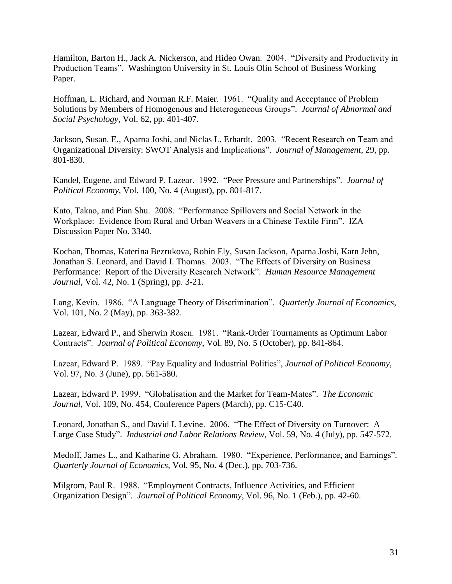Hamilton, Barton H., Jack A. Nickerson, and Hideo Owan. 2004. "Diversity and Productivity in Production Teams". Washington University in St. Louis Olin School of Business Working Paper.

Hoffman, L. Richard, and Norman R.F. Maier. 1961. "Quality and Acceptance of Problem Solutions by Members of Homogenous and Heterogeneous Groups". *Journal of Abnormal and Social Psychology,* Vol. 62, pp. 401-407.

Jackson, Susan. E., Aparna Joshi, and Niclas L. Erhardt. 2003. "Recent Research on Team and Organizational Diversity: SWOT Analysis and Implications". *Journal of Management*, 29, pp. 801-830.

Kandel, Eugene, and Edward P. Lazear. 1992. "Peer Pressure and Partnerships". *Journal of Political Economy*, Vol. 100, No. 4 (August), pp. 801-817.

Kato, Takao, and Pian Shu. 2008. "Performance Spillovers and Social Network in the Workplace: Evidence from Rural and Urban Weavers in a Chinese Textile Firm". IZA Discussion Paper No. 3340.

Kochan, Thomas, Katerina Bezrukova, Robin Ely, Susan Jackson, Aparna Joshi, Karn Jehn, Jonathan S. Leonard, and David I. Thomas. 2003. "The Effects of Diversity on Business Performance: Report of the Diversity Research Network". *Human Resource Management Journal*, Vol. 42, No. 1 (Spring), pp. 3-21.

Lang, Kevin. 1986. "A Language Theory of Discrimination". *Quarterly Journal of Economics*, Vol. 101, No. 2 (May), pp. 363-382.

Lazear, Edward P., and Sherwin Rosen. 1981. "Rank-Order Tournaments as Optimum Labor Contracts". *Journal of Political Economy*, Vol. 89, No. 5 (October), pp. 841-864.

Lazear, Edward P. 1989. "Pay Equality and Industrial Politics", *Journal of Political Economy*, Vol. 97, No. 3 (June), pp. 561-580.

Lazear, Edward P. 1999. "Globalisation and the Market for Team-Mates". *The Economic Journal*, Vol. 109, No. 454, Conference Papers (March), pp. C15-C40.

Leonard, Jonathan S., and David I. Levine. 2006. "The Effect of Diversity on Turnover: A Large Case Study". *Industrial and Labor Relations Review*, Vol. 59, No. 4 (July), pp. 547-572.

Medoff, James L., and Katharine G. Abraham. 1980. "Experience, Performance, and Earnings". *Quarterly Journal of Economics,* Vol. 95, No. 4 (Dec.), pp. 703-736.

Milgrom, Paul R. 1988. "Employment Contracts, Influence Activities, and Efficient Organization Design". *Journal of Political Economy*, Vol. 96, No. 1 (Feb.), pp. 42-60.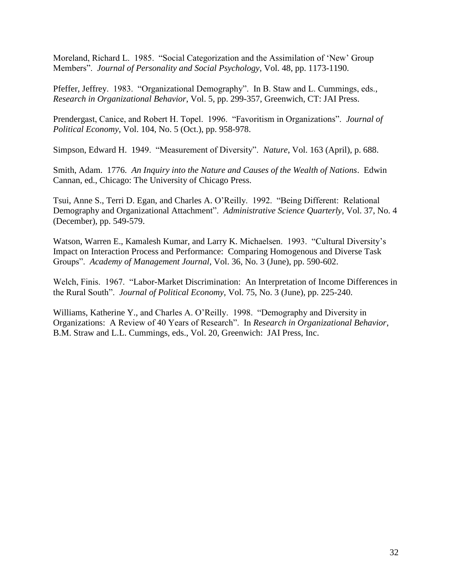Moreland, Richard L. 1985. "Social Categorization and the Assimilation of "New" Group Members". *Journal of Personality and Social Psychology*, Vol. 48, pp. 1173-1190.

Pfeffer, Jeffrey. 1983. "Organizational Demography". In B. Staw and L. Cummings, eds., *Research in Organizational Behavior*, Vol. 5, pp. 299-357, Greenwich, CT: JAI Press.

Prendergast, Canice, and Robert H. Topel. 1996. "Favoritism in Organizations". *Journal of Political Economy*, Vol. 104, No. 5 (Oct.), pp. 958-978.

Simpson, Edward H. 1949. "Measurement of Diversity". *Nature*, Vol. 163 (April), p. 688.

Smith, Adam. 1776. *An Inquiry into the Nature and Causes of the Wealth of Nations*. Edwin Cannan, ed., Chicago: The University of Chicago Press.

Tsui, Anne S., Terri D. Egan, and Charles A. O"Reilly. 1992. "Being Different: Relational Demography and Organizational Attachment". *Administrative Science Quarterly,* Vol. 37, No. 4 (December), pp. 549-579.

Watson, Warren E., Kamalesh Kumar, and Larry K. Michaelsen. 1993. "Cultural Diversity"s Impact on Interaction Process and Performance: Comparing Homogenous and Diverse Task Groups". *Academy of Management Journal*, Vol. 36, No. 3 (June), pp. 590-602.

Welch, Finis. 1967. "Labor-Market Discrimination: An Interpretation of Income Differences in the Rural South". *Journal of Political Economy*, Vol. 75, No. 3 (June), pp. 225-240.

Williams, Katherine Y., and Charles A. O"Reilly. 1998. "Demography and Diversity in Organizations: A Review of 40 Years of Research". In *Research in Organizational Behavior*, B.M. Straw and L.L. Cummings, eds., Vol. 20, Greenwich: JAI Press, Inc.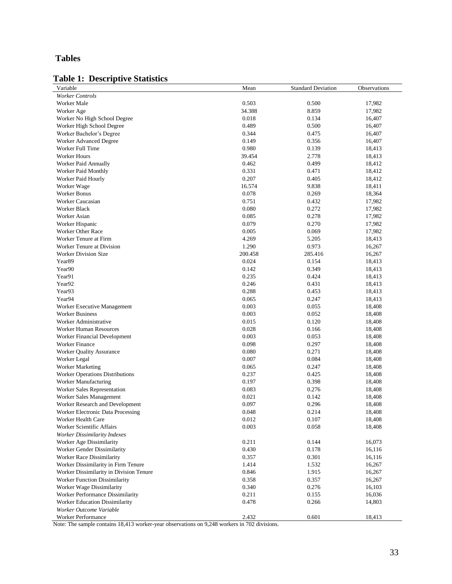### **Tables**

## **Table 1: Descriptive Statistics**

| Variable                                | Mean    | <b>Standard Deviation</b> | Observations |
|-----------------------------------------|---------|---------------------------|--------------|
| <b>Worker Controls</b>                  |         |                           |              |
| Worker Male                             | 0.503   | 0.500                     | 17,982       |
| Worker Age                              | 34.388  | 8.859                     | 17,982       |
| Worker No High School Degree            | 0.018   | 0.134                     | 16,407       |
| Worker High School Degree               | 0.489   | 0.500                     | 16,407       |
| Worker Bachelor's Degree                | 0.344   | 0.475                     | 16,407       |
| Worker Advanced Degree                  | 0.149   | 0.356                     | 16,407       |
| Worker Full Time                        | 0.980   | 0.139                     | 18,413       |
| <b>Worker Hours</b>                     | 39.454  | 2.778                     | 18,413       |
| Worker Paid Annually                    | 0.462   | 0.499                     | 18,412       |
| Worker Paid Monthly                     | 0.331   | 0.471                     | 18,412       |
| Worker Paid Hourly                      | 0.207   | 0.405                     | 18,412       |
| Worker Wage                             | 16.574  | 9.838                     | 18,411       |
| Worker Bonus                            | 0.078   | 0.269                     | 18,364       |
| Worker Caucasian                        | 0.751   | 0.432                     | 17,982       |
| Worker Black                            | 0.080   | 0.272                     | 17,982       |
| Worker Asian                            | 0.085   | 0.278                     | 17,982       |
| Worker Hispanic                         | 0.079   | 0.270                     | 17,982       |
| <b>Worker Other Race</b>                | 0.005   | 0.069                     | 17,982       |
| Worker Tenure at Firm                   | 4.269   | 5.205                     | 18,413       |
| Worker Tenure at Division               | 1.290   | 0.973                     | 16,267       |
| <b>Worker Division Size</b>             | 200.458 | 285.416                   | 16,267       |
| Year <sub>89</sub>                      | 0.024   | 0.154                     | 18,413       |
| Year <sub>90</sub>                      | 0.142   | 0.349                     | 18,413       |
| Year91                                  | 0.235   | 0.424                     | 18,413       |
| Year92                                  | 0.246   | 0.431                     | 18,413       |
| Year93                                  | 0.288   | 0.453                     | 18,413       |
| Year94                                  | 0.065   | 0.247                     | 18,413       |
| Worker Executive Management             | 0.003   | 0.055                     | 18,408       |
| <b>Worker Business</b>                  | 0.003   | 0.052                     | 18,408       |
| Worker Administrative                   | 0.015   | 0.120                     | 18,408       |
| Worker Human Resources                  | 0.028   | 0.166                     | 18,408       |
| Worker Financial Development            | 0.003   | 0.053                     | 18,408       |
| Worker Finance                          | 0.098   | 0.297                     | 18,408       |
| <b>Worker Quality Assurance</b>         | 0.080   | 0.271                     | 18,408       |
| Worker Legal                            | 0.007   | 0.084                     | 18,408       |
| <b>Worker Marketing</b>                 | 0.065   | 0.247                     | 18,408       |
| <b>Worker Operations Distributions</b>  | 0.237   | 0.425                     | 18,408       |
| Worker Manufacturing                    | 0.197   | 0.398                     | 18,408       |
| <b>Worker Sales Representation</b>      | 0.083   | 0.276                     | 18,408       |
| Worker Sales Management                 | 0.021   | 0.142                     | 18,408       |
| Worker Research and Development         | 0.097   | 0.296                     | 18,408       |
| Worker Electronic Data Processing       | 0.048   | 0.214                     | 18,408       |
| Worker Health Care                      | 0.012   | 0.107                     | 18,408       |
| <b>Worker Scientific Affairs</b>        | 0.003   | 0.058                     | 18,408       |
| Worker Dissimilarity Indexes            |         |                           |              |
| Worker Age Dissimilarity                | 0.211   | 0.144                     | 16,073       |
| Worker Gender Dissimilarity             | 0.430   | 0.178                     | 16,116       |
| Worker Race Dissimilarity               | 0.357   | 0.301                     | 16,116       |
| Worker Dissimilarity in Firm Tenure     | 1.414   | 1.532                     | 16,267       |
| Worker Dissimilarity in Division Tenure | 0.846   | 1.915                     | 16,267       |
| Worker Function Dissimilarity           | 0.358   | 0.357                     | 16,267       |
| Worker Wage Dissimilarity               | 0.340   | 0.276                     | 16,103       |
| Worker Performance Dissimilarity        | 0.211   | 0.155                     | 16,036       |
| Worker Education Dissimilarity          | 0.478   | 0.266                     | 14,803       |
| Worker Outcome Variable                 |         |                           |              |
| <b>Worker Performance</b>               | 2.432   | 0.601                     | 18,413       |
|                                         |         |                           |              |

Note: The sample contains 18,413 worker-year observations on 9,248 workers in 702 divisions.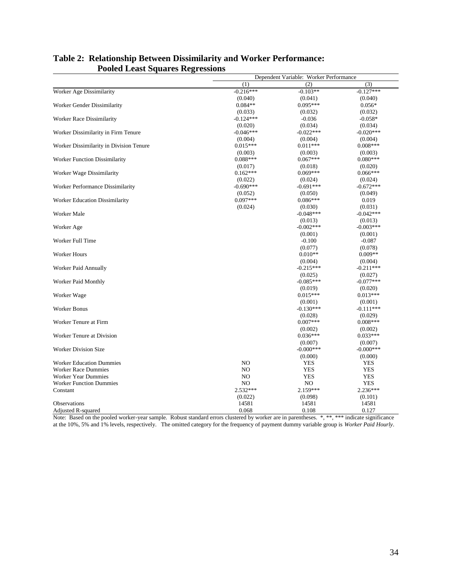|                                         |             | Dependent Variable: Worker Performance |              |  |  |  |
|-----------------------------------------|-------------|----------------------------------------|--------------|--|--|--|
|                                         | (1)         | (2)                                    | (3)          |  |  |  |
| Worker Age Dissimilarity                | $-0.216***$ | $-0.103**$                             | $-0.127***$  |  |  |  |
|                                         | (0.040)     | (0.041)                                | (0.040)      |  |  |  |
| Worker Gender Dissimilarity             | $0.084**$   | $0.095***$                             | $0.056*$     |  |  |  |
|                                         | (0.033)     | (0.032)                                | (0.032)      |  |  |  |
| Worker Race Dissimilarity               | $-0.124***$ | $-0.036$                               | $-0.058*$    |  |  |  |
|                                         | (0.020)     | (0.034)                                | (0.034)      |  |  |  |
| Worker Dissimilarity in Firm Tenure     | $-0.046***$ | $-0.022***$                            | $-0.020***$  |  |  |  |
|                                         | (0.004)     | (0.004)                                | (0.004)      |  |  |  |
| Worker Dissimilarity in Division Tenure | $0.015***$  | $0.011***$                             | $0.008***$   |  |  |  |
|                                         | (0.003)     | (0.003)                                | (0.003)      |  |  |  |
| <b>Worker Function Dissimilarity</b>    | $0.088***$  | $0.067***$                             | $0.080***$   |  |  |  |
|                                         | (0.017)     | (0.018)                                | (0.020)      |  |  |  |
| Worker Wage Dissimilarity               | $0.162***$  | $0.069***$                             | $0.066***$   |  |  |  |
|                                         | (0.022)     | (0.024)                                | (0.024)      |  |  |  |
| Worker Performance Dissimilarity        | $-0.690***$ | $-0.691***$                            | $-0.672***$  |  |  |  |
|                                         | (0.052)     | (0.050)                                | (0.049)      |  |  |  |
| Worker Education Dissimilarity          | $0.097***$  | $0.086***$                             | 0.019        |  |  |  |
|                                         | (0.024)     | (0.030)                                | (0.031)      |  |  |  |
| <b>Worker Male</b>                      |             | $-0.048***$                            | $-0.042***$  |  |  |  |
|                                         |             | (0.013)                                | (0.013)      |  |  |  |
| Worker Age                              |             | $-0.002$ ***                           | $-0.003***$  |  |  |  |
|                                         |             | (0.001)                                | (0.001)      |  |  |  |
| Worker Full Time                        |             | $-0.100$                               | $-0.087$     |  |  |  |
|                                         |             | (0.077)                                | (0.078)      |  |  |  |
| <b>Worker Hours</b>                     |             | $0.010**$                              | $0.009**$    |  |  |  |
|                                         |             | (0.004)                                | (0.004)      |  |  |  |
| Worker Paid Annually                    |             | $-0.215***$                            | $-0.211***$  |  |  |  |
|                                         |             | (0.025)                                | (0.027)      |  |  |  |
| Worker Paid Monthly                     |             | $-0.085***$                            | $-0.077***$  |  |  |  |
|                                         |             | (0.019)                                | (0.020)      |  |  |  |
| Worker Wage                             |             | $0.015***$                             | $0.013***$   |  |  |  |
|                                         |             | (0.001)                                | (0.001)      |  |  |  |
| <b>Worker Bonus</b>                     |             | $-0.130***$                            | $-0.111***$  |  |  |  |
|                                         |             | (0.028)                                | (0.029)      |  |  |  |
| Worker Tenure at Firm                   |             | $0.007***$                             | $0.008***$   |  |  |  |
|                                         |             | (0.002)                                | (0.002)      |  |  |  |
| Worker Tenure at Division               |             | $0.036***$                             | $0.033***$   |  |  |  |
|                                         |             | (0.007)                                | (0.007)      |  |  |  |
| <b>Worker Division Size</b>             |             | $-0.000***$                            | $-0.000$ *** |  |  |  |
|                                         |             | (0.000)                                | (0.000)      |  |  |  |
| <b>Worker Education Dummies</b>         | NO          | <b>YES</b>                             | <b>YES</b>   |  |  |  |
| <b>Worker Race Dummies</b>              | NO.         | <b>YES</b>                             | <b>YES</b>   |  |  |  |
| <b>Worker Year Dummies</b>              | NO          | <b>YES</b>                             | <b>YES</b>   |  |  |  |
| <b>Worker Function Dummies</b>          | NO.         | NO                                     | YES          |  |  |  |
| Constant                                | 2.532***    | $2.159***$                             | $2.236***$   |  |  |  |
|                                         | (0.022)     | (0.098)                                | (0.101)      |  |  |  |
| Observations                            | 14581       | 14581                                  | 14581        |  |  |  |
| <b>Adjusted R-squared</b>               | 0.068       | 0.108                                  | 0.127        |  |  |  |

#### **Table 2: Relationship Between Dissimilarity and Worker Performance: Pooled Least Squares Regressions**

Note: Based on the pooled worker-year sample. Robust standard errors clustered by worker are in parentheses. \*, \*\*, \*\*\* indicate significance at the 10%, 5% and 1% levels, respectively. The omitted category for the frequency of payment dummy variable group is *Worker Paid Hourly*.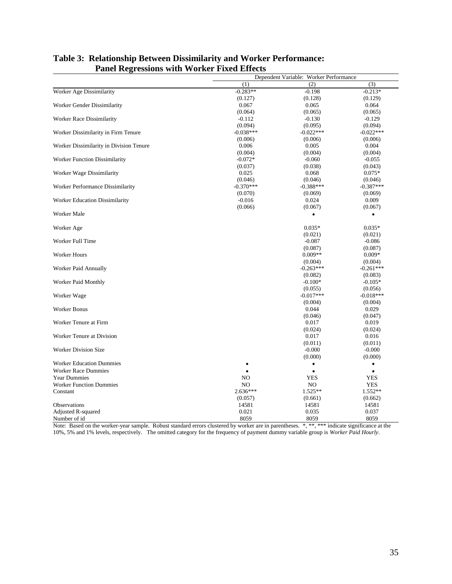|                                         | Dependent Variable: Worker Performance |                      |                      |  |  |
|-----------------------------------------|----------------------------------------|----------------------|----------------------|--|--|
|                                         | (1)                                    | (2)                  | (3)                  |  |  |
| Worker Age Dissimilarity                | $-0.283**$                             | $-0.198$             | $-0.213*$            |  |  |
|                                         | (0.127)                                | (0.128)              | (0.129)              |  |  |
| Worker Gender Dissimilarity             | 0.067                                  | 0.065                | 0.064                |  |  |
|                                         | (0.064)                                | (0.065)              | (0.065)              |  |  |
| <b>Worker Race Dissimilarity</b>        | $-0.112$                               | $-0.130$             | $-0.129$             |  |  |
|                                         | (0.094)                                | (0.095)              | (0.094)              |  |  |
| Worker Dissimilarity in Firm Tenure     | $-0.038***$                            | $-0.022***$          | $-0.022***$          |  |  |
|                                         | (0.006)                                | (0.006)              | (0.006)              |  |  |
| Worker Dissimilarity in Division Tenure | 0.006                                  | 0.005                | 0.004                |  |  |
|                                         | (0.004)                                | (0.004)              | (0.004)              |  |  |
| <b>Worker Function Dissimilarity</b>    | $-0.072*$                              | $-0.060$             | $-0.055$             |  |  |
|                                         | (0.037)                                | (0.038)              | (0.043)              |  |  |
| Worker Wage Dissimilarity               | 0.025                                  | 0.068                | $0.075*$             |  |  |
|                                         | (0.046)                                | (0.046)              | (0.046)              |  |  |
| Worker Performance Dissimilarity        | $-0.370***$                            | $-0.388***$          | $-0.387***$          |  |  |
|                                         | (0.070)                                | (0.069)              | (0.069)              |  |  |
| <b>Worker Education Dissimilarity</b>   | $-0.016$                               | 0.024                | 0.009                |  |  |
|                                         | (0.066)                                | (0.067)              | (0.067)              |  |  |
| Worker Male                             |                                        | $\bullet$            | $\bullet$            |  |  |
| Worker Age                              |                                        | $0.035*$             | $0.035*$             |  |  |
|                                         |                                        | (0.021)              | (0.021)              |  |  |
| Worker Full Time                        |                                        | $-0.087$             | $-0.086$             |  |  |
|                                         |                                        | (0.087)              | (0.087)              |  |  |
| <b>Worker Hours</b>                     |                                        | $0.009**$            | $0.009*$             |  |  |
|                                         |                                        | (0.004)              | (0.004)              |  |  |
| Worker Paid Annually                    |                                        | $-0.263***$          | $-0.261***$          |  |  |
|                                         |                                        | (0.082)              | (0.083)              |  |  |
| Worker Paid Monthly                     |                                        | $-0.100*$            | $-0.105*$            |  |  |
|                                         |                                        | (0.055)              | (0.056)              |  |  |
| Worker Wage                             |                                        | $-0.017***$          | $-0.018***$          |  |  |
|                                         |                                        | (0.004)              | (0.004)              |  |  |
| <b>Worker Bonus</b>                     |                                        | 0.044                | 0.029                |  |  |
|                                         |                                        | (0.046)              | (0.047)              |  |  |
| Worker Tenure at Firm                   |                                        | 0.017                | 0.019                |  |  |
|                                         |                                        | (0.024)              | (0.024)              |  |  |
| Worker Tenure at Division               |                                        | 0.017                | 0.016                |  |  |
|                                         |                                        | (0.011)              | (0.011)              |  |  |
| <b>Worker Division Size</b>             |                                        | $-0.000$             | $-0.000$             |  |  |
| <b>Worker Education Dummies</b>         |                                        | (0.000)<br>$\bullet$ | (0.000)<br>$\bullet$ |  |  |
| <b>Worker Race Dummies</b>              |                                        |                      |                      |  |  |
| <b>Year Dummies</b>                     | NO.                                    | <b>YES</b>           | <b>YES</b>           |  |  |
| <b>Worker Function Dummies</b>          | NO                                     | NO.                  | <b>YES</b>           |  |  |
| Constant                                | $2.636***$                             | 1.525**              | $1.552**$            |  |  |
|                                         | (0.057)                                | (0.661)              | (0.662)              |  |  |
| Observations                            | 14581                                  | 14581                | 14581                |  |  |
| Adjusted R-squared                      | 0.021                                  | 0.035                | 0.037                |  |  |
| Number of id                            | 8059                                   | 8059                 | 8059                 |  |  |

#### **Table 3: Relationship Between Dissimilarity and Worker Performance: Panel Regressions with Worker Fixed Effects**

Note: Based on the worker-year sample. Robust standard errors clustered by worker are in parentheses. \*, \*\*, \*\*\* indicate significance at the 10%, 5% and 1% levels, respectively. The omitted category for the frequency of payment dummy variable group is *Worker Paid Hourly*.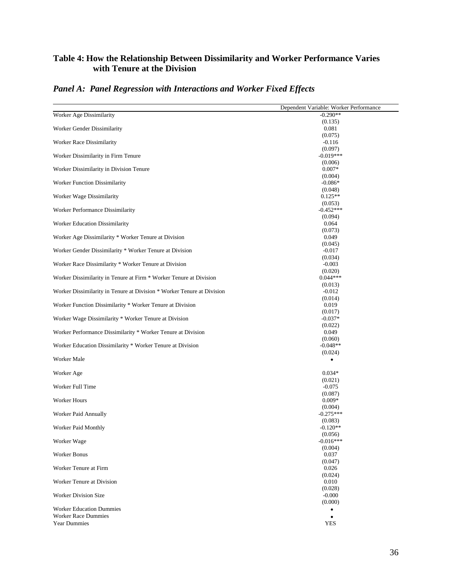#### **Table 4: How the Relationship Between Dissimilarity and Worker Performance Varies with Tenure at the Division**

|                                                                        | Dependent Variable: Worker Performance |
|------------------------------------------------------------------------|----------------------------------------|
| Worker Age Dissimilarity                                               | $-0.290**$                             |
|                                                                        | (0.135)                                |
| Worker Gender Dissimilarity                                            | 0.081<br>(0.075)                       |
| Worker Race Dissimilarity                                              | $-0.116$                               |
|                                                                        | (0.097)                                |
| Worker Dissimilarity in Firm Tenure                                    | $-0.019***$                            |
|                                                                        | (0.006)                                |
| Worker Dissimilarity in Division Tenure                                | $0.007*$                               |
|                                                                        | (0.004)                                |
| Worker Function Dissimilarity                                          | $-0.086*$                              |
|                                                                        | (0.048)<br>$0.125**$                   |
| Worker Wage Dissimilarity                                              | (0.053)                                |
| Worker Performance Dissimilarity                                       | $-0.452***$                            |
|                                                                        | (0.094)                                |
| Worker Education Dissimilarity                                         | 0.064                                  |
|                                                                        | (0.073)                                |
| Worker Age Dissimilarity * Worker Tenure at Division                   | 0.049                                  |
|                                                                        | (0.045)                                |
| Worker Gender Dissimilarity * Worker Tenure at Division                | $-0.017$                               |
|                                                                        | (0.034)                                |
| Worker Race Dissimilarity * Worker Tenure at Division                  | $-0.003$<br>(0.020)                    |
| Worker Dissimilarity in Tenure at Firm * Worker Tenure at Division     | $0.044***$                             |
|                                                                        | (0.013)                                |
| Worker Dissimilarity in Tenure at Division * Worker Tenure at Division | $-0.012$                               |
|                                                                        | (0.014)                                |
| Worker Function Dissimilarity * Worker Tenure at Division              | 0.019                                  |
|                                                                        | (0.017)                                |
| Worker Wage Dissimilarity * Worker Tenure at Division                  | $-0.037*$                              |
|                                                                        | (0.022)                                |
| Worker Performance Dissimilarity * Worker Tenure at Division           | 0.049<br>(0.060)                       |
| Worker Education Dissimilarity * Worker Tenure at Division             | $-0.048**$                             |
|                                                                        | (0.024)                                |
| Worker Male                                                            | $\bullet$                              |
|                                                                        |                                        |
| Worker Age                                                             | $0.034*$                               |
| Worker Full Time                                                       | (0.021)<br>$-0.075$                    |
|                                                                        | (0.087)                                |
| Worker Hours                                                           | $0.009*$                               |
|                                                                        | (0.004)                                |
| Worker Paid Annually                                                   | $-0.275***$                            |
|                                                                        | (0.083)                                |
| Worker Paid Monthly                                                    | $-0.120**$                             |
| Worker Wage                                                            | (0.056)<br>$-0.016***$                 |
|                                                                        | (0.004)                                |
| <b>Worker Bonus</b>                                                    | 0.037                                  |
|                                                                        | (0.047)                                |
| Worker Tenure at Firm                                                  | 0.026                                  |
|                                                                        | (0.024)                                |
| Worker Tenure at Division                                              | 0.010                                  |
|                                                                        | (0.028)                                |
| <b>Worker Division Size</b>                                            | $-0.000$                               |
|                                                                        | (0.000)                                |
| <b>Worker Education Dummies</b><br><b>Worker Race Dummies</b>          | $\bullet$                              |
| <b>Year Dummies</b>                                                    | <b>YES</b>                             |
|                                                                        |                                        |

#### *Panel A: Panel Regression with Interactions and Worker Fixed Effects*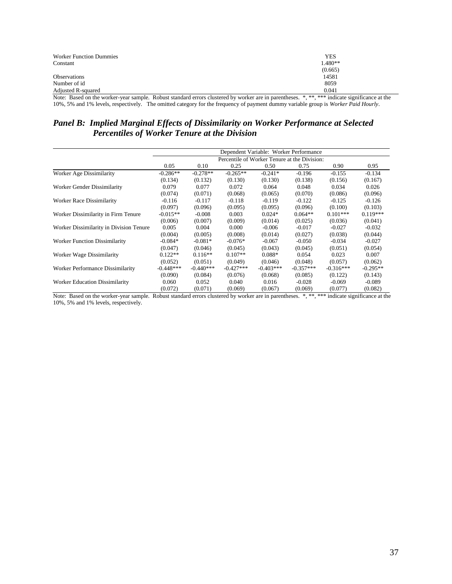| <b>Worker Function Dummies</b> | <b>YES</b>           |
|--------------------------------|----------------------|
| Constant                       | $1.480**$<br>(0.665) |
| Observations                   | 14581                |
| Number of id                   | 8059                 |
| <b>Adjusted R-squared</b>      | 0.041                |

Note: Based on the worker-year sample. Robust standard errors clustered by worker are in parentheses. \*, \*\*, \*\*\* indicate significance at the 10%, 5% and 1% levels, respectively. The omitted category for the frequency of payment dummy variable group is *Worker Paid Hourly*.

#### *Panel B: Implied Marginal Effects of Dissimilarity on Worker Performance at Selected Percentiles of Worker Tenure at the Division*

|                                         |             |             |             | Dependent Variable: Worker Performance       |             |             |            |
|-----------------------------------------|-------------|-------------|-------------|----------------------------------------------|-------------|-------------|------------|
|                                         |             |             |             | Percentile of Worker Tenure at the Division: |             |             |            |
|                                         | 0.05        | 0.10        | 0.25        | 0.50                                         | 0.75        | 0.90        | 0.95       |
| Worker Age Dissimilarity                | $-0.286**$  | $-0.278**$  | $-0.265**$  | $-0.241*$                                    | $-0.196$    | $-0.155$    | $-0.134$   |
|                                         | (0.134)     | (0.132)     | (0.130)     | (0.130)                                      | (0.138)     | (0.156)     | (0.167)    |
| Worker Gender Dissimilarity             | 0.079       | 0.077       | 0.072       | 0.064                                        | 0.048       | 0.034       | 0.026      |
|                                         | (0.074)     | (0.071)     | (0.068)     | (0.065)                                      | (0.070)     | (0.086)     | (0.096)    |
| Worker Race Dissimilarity               | $-0.116$    | $-0.117$    | $-0.118$    | $-0.119$                                     | $-0.122$    | $-0.125$    | $-0.126$   |
|                                         | (0.097)     | (0.096)     | (0.095)     | (0.095)                                      | (0.096)     | (0.100)     | (0.103)    |
| Worker Dissimilarity in Firm Tenure     | $-0.015**$  | $-0.008$    | 0.003       | $0.024*$                                     | $0.064**$   | $0.101***$  | $0.119***$ |
|                                         | (0.006)     | (0.007)     | (0.009)     | (0.014)                                      | (0.025)     | (0.036)     | (0.041)    |
| Worker Dissimilarity in Division Tenure | 0.005       | 0.004       | 0.000       | $-0.006$                                     | $-0.017$    | $-0.027$    | $-0.032$   |
|                                         | (0.004)     | (0.005)     | (0.008)     | (0.014)                                      | (0.027)     | (0.038)     | (0.044)    |
| <b>Worker Function Dissimilarity</b>    | $-0.084*$   | $-0.081*$   | $-0.076*$   | $-0.067$                                     | $-0.050$    | $-0.034$    | $-0.027$   |
|                                         | (0.047)     | (0.046)     | (0.045)     | (0.043)                                      | (0.045)     | (0.051)     | (0.054)    |
| Worker Wage Dissimilarity               | $0.122**$   | $0.116**$   | $0.107**$   | $0.088*$                                     | 0.054       | 0.023       | 0.007      |
|                                         | (0.052)     | (0.051)     | (0.049)     | (0.046)                                      | (0.048)     | (0.057)     | (0.062)    |
| Worker Performance Dissimilarity        | $-0.448***$ | $-0.440***$ | $-0.427***$ | $-0.403***$                                  | $-0.357***$ | $-0.316***$ | $-0.295**$ |
|                                         | (0.090)     | (0.084)     | (0.076)     | (0.068)                                      | (0.085)     | (0.122)     | (0.143)    |
| <b>Worker Education Dissimilarity</b>   | 0.060       | 0.052       | 0.040       | 0.016                                        | $-0.028$    | $-0.069$    | $-0.089$   |
|                                         | (0.072)     | (0.071)     | (0.069)     | (0.067)                                      | (0.069)     | (0.077)     | (0.082)    |

Note: Based on the worker-year sample. Robust standard errors clustered by worker are in parentheses. \*, \*\*, \*\*\* indicate significance at the 10%, 5% and 1% levels, respectively.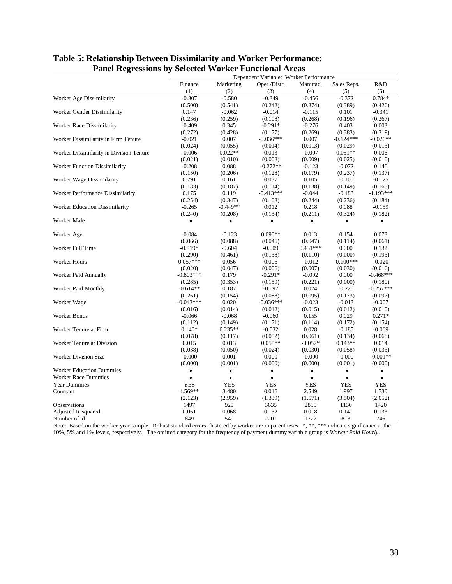|                                         |             |            | Dependent Variable: Worker Performance |            |             |             |
|-----------------------------------------|-------------|------------|----------------------------------------|------------|-------------|-------------|
|                                         | Finance     | Marketing  | Oper./Distr.                           | Manufac.   | Sales Reps. | R&D         |
|                                         | (1)         | (2)        | (3)                                    | (4)        | (5)         | (6)         |
| Worker Age Dissimilarity                | $-0.307$    | $-0.580$   | $-0.349$                               | $-0.456$   | $-0.372$    | $0.784*$    |
|                                         | (0.500)     | (0.541)    | (0.242)                                | (0.374)    | (0.389)     | (0.426)     |
| Worker Gender Dissimilarity             | 0.147       | $-0.062$   | $-0.014$                               | $-0.115$   | 0.101       | $-0.341$    |
|                                         | (0.236)     | (0.259)    | (0.108)                                | (0.268)    | (0.196)     | (0.267)     |
| <b>Worker Race Dissimilarity</b>        | $-0.409$    | 0.345      | $-0.291*$                              | $-0.276$   | 0.403       | 0.003       |
|                                         | (0.272)     | (0.428)    | (0.177)                                | (0.269)    | (0.383)     | (0.319)     |
| Worker Dissimilarity in Firm Tenure     | $-0.021$    | 0.007      | $-0.036***$                            | 0.007      | $-0.124***$ | $-0.026**$  |
|                                         | (0.024)     | (0.055)    | (0.014)                                | (0.013)    | (0.029)     | (0.013)     |
| Worker Dissimilarity in Division Tenure | $-0.006$    | $0.022**$  | 0.013                                  | $-0.007$   | $0.051**$   | 0.006       |
|                                         | (0.021)     | (0.010)    | (0.008)                                | (0.009)    | (0.025)     | (0.010)     |
| <b>Worker Function Dissimilarity</b>    | $-0.208$    | 0.088      | $-0.272**$                             | $-0.123$   | $-0.072$    | 0.146       |
|                                         | (0.150)     | (0.206)    | (0.128)                                | (0.179)    | (0.237)     | (0.137)     |
| Worker Wage Dissimilarity               | 0.291       | 0.161      | 0.037                                  | 0.105      | $-0.100$    | $-0.125$    |
|                                         | (0.183)     | (0.187)    | (0.114)                                | (0.138)    | (0.149)     | (0.165)     |
| Worker Performance Dissimilarity        | 0.175       | 0.119      | $-0.413***$                            | $-0.044$   | $-0.183$    | $-1.193***$ |
|                                         | (0.254)     | (0.347)    | (0.108)                                | (0.244)    | (0.236)     | (0.184)     |
| Worker Education Dissimilarity          | $-0.265$    | $-0.449**$ | 0.012                                  | 0.218      | 0.088       | $-0.159$    |
|                                         | (0.240)     | (0.208)    | (0.134)                                | (0.211)    | (0.324)     | (0.182)     |
| Worker Male                             | $\bullet$   | $\bullet$  | $\bullet$                              | $\bullet$  | $\bullet$   | $\bullet$   |
| Worker Age                              | $-0.084$    | $-0.123$   | $0.090**$                              | 0.013      | 0.154       | 0.078       |
|                                         | (0.066)     | (0.088)    | (0.045)                                | (0.047)    | (0.114)     | (0.061)     |
| Worker Full Time                        | $-0.519*$   | $-0.604$   | $-0.009$                               | $0.431***$ | 0.000       | 0.132       |
|                                         | (0.290)     | (0.461)    | (0.138)                                | (0.110)    | (0.000)     | (0.193)     |
| <b>Worker Hours</b>                     | $0.057***$  | 0.056      | 0.006                                  | $-0.012$   | $-0.100***$ | $-0.020$    |
|                                         | (0.020)     | (0.047)    | (0.006)                                | (0.007)    | (0.030)     | (0.016)     |
| Worker Paid Annually                    | $-0.803***$ | 0.179      | $-0.291*$                              | $-0.092$   | 0.000       | $-0.468***$ |
|                                         | (0.285)     | (0.353)    | (0.159)                                | (0.221)    | (0.000)     | (0.180)     |
| Worker Paid Monthly                     | $-0.614**$  | 0.187      | $-0.097$                               | 0.074      | $-0.226$    | $-0.257***$ |
|                                         | (0.261)     | (0.154)    | (0.088)                                | (0.095)    | (0.173)     | (0.097)     |
| Worker Wage                             | $-0.043***$ | 0.020      | $-0.036***$                            | $-0.023$   | $-0.013$    | $-0.007$    |
|                                         | (0.016)     | (0.014)    | (0.012)                                | (0.015)    | (0.012)     | (0.010)     |
| <b>Worker Bonus</b>                     | $-0.066$    | $-0.068$   | $-0.060$                               | 0.155      | 0.029       | $0.271*$    |
|                                         | (0.112)     | (0.149)    | (0.171)                                | (0.114)    | (0.172)     | (0.154)     |
| Worker Tenure at Firm                   | $0.140*$    | $0.235**$  | $-0.032$                               | 0.028      | $-0.185$    | $-0.069$    |
|                                         | (0.078)     | (0.117)    | (0.052)                                | (0.061)    | (0.134)     | (0.068)     |
| Worker Tenure at Division               | 0.015       | 0.013      | $0.055**$                              | $-0.057*$  | $0.143**$   | 0.014       |
|                                         | (0.038)     | (0.050)    | (0.024)                                | (0.030)    | (0.058)     | (0.033)     |
| <b>Worker Division Size</b>             | $-0.000$    | 0.001      | 0.000                                  | $-0.000$   | $-0.000$    | $-0.001**$  |
|                                         | (0.000)     | (0.001)    | (0.000)                                | (0.000)    | (0.001)     | (0.000)     |
| <b>Worker Education Dummies</b>         | $\bullet$   | $\bullet$  | $\bullet$                              | $\bullet$  | $\bullet$   | $\bullet$   |
| <b>Worker Race Dummies</b>              | $\bullet$   | $\bullet$  | $\bullet$                              | $\bullet$  | $\bullet$   |             |
| <b>Year Dummies</b>                     | <b>YES</b>  | <b>YES</b> | <b>YES</b>                             | <b>YES</b> | <b>YES</b>  | YES         |
| Constant                                | 4.569**     | 3.480      | 0.016                                  | 2.549      | 1.997       | 1.730       |
|                                         | (2.123)     | (2.959)    | (1.339)                                | (1.571)    | (3.504)     | (2.052)     |
| Observations                            | 1497        | 925        | 3635                                   | 2895       | 1130        | 1420        |
| Adjusted R-squared                      | 0.061       | 0.068      | 0.132                                  | 0.018      | 0.141       | 0.133       |
| Number of id                            | 849         | 549        | 2201                                   | 1727       | 813         | 746         |
|                                         |             |            |                                        |            |             |             |

#### **Table 5: Relationship Between Dissimilarity and Worker Performance: Panel Regressions by Selected Worker Functional Areas**

Note: Based on the worker-year sample. Robust standard errors clustered by worker are in parentheses. \*, \*\*, \*\*\* indicate significance at the 10%, 5% and 1% levels, respectively. The omitted category for the frequency of payment dummy variable group is *Worker Paid Hourly*.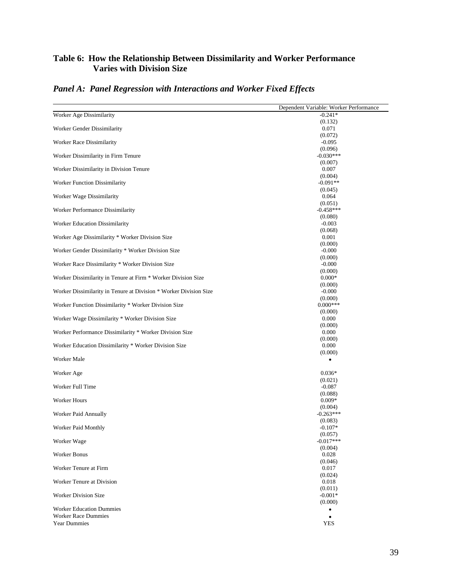#### **Table 6: How the Relationship Between Dissimilarity and Worker Performance Varies with Division Size**

|                                                                   | Dependent Variable: Worker Performance |
|-------------------------------------------------------------------|----------------------------------------|
| Worker Age Dissimilarity                                          | $-0.241*$                              |
|                                                                   | (0.132)                                |
| Worker Gender Dissimilarity                                       | 0.071<br>(0.072)                       |
| Worker Race Dissimilarity                                         | $-0.095$                               |
|                                                                   | (0.096)                                |
| Worker Dissimilarity in Firm Tenure                               | $-0.030***$                            |
|                                                                   | (0.007)                                |
| Worker Dissimilarity in Division Tenure                           | 0.007                                  |
|                                                                   | (0.004)                                |
| Worker Function Dissimilarity                                     | $-0.091**$                             |
|                                                                   | (0.045)                                |
| Worker Wage Dissimilarity                                         | 0.064<br>(0.051)                       |
| Worker Performance Dissimilarity                                  | $-0.458***$                            |
|                                                                   | (0.080)                                |
| Worker Education Dissimilarity                                    | $-0.003$                               |
|                                                                   | (0.068)                                |
| Worker Age Dissimilarity * Worker Division Size                   | 0.001                                  |
|                                                                   | (0.000)                                |
| Worker Gender Dissimilarity * Worker Division Size                | $-0.000$                               |
|                                                                   | (0.000)                                |
| Worker Race Dissimilarity * Worker Division Size                  | $-0.000$<br>(0.000)                    |
| Worker Dissimilarity in Tenure at Firm * Worker Division Size     | $0.000*$                               |
|                                                                   | (0.000)                                |
| Worker Dissimilarity in Tenure at Division * Worker Division Size | $-0.000$                               |
|                                                                   | (0.000)                                |
| Worker Function Dissimilarity * Worker Division Size              | $0.000***$                             |
|                                                                   | (0.000)                                |
| Worker Wage Dissimilarity * Worker Division Size                  | 0.000                                  |
|                                                                   | (0.000)                                |
| Worker Performance Dissimilarity * Worker Division Size           | 0.000<br>(0.000)                       |
| Worker Education Dissimilarity * Worker Division Size             | 0.000                                  |
|                                                                   | (0.000)                                |
| Worker Male                                                       |                                        |
| Worker Age                                                        | $0.036*$                               |
|                                                                   | (0.021)                                |
| Worker Full Time                                                  | $-0.087$                               |
|                                                                   | (0.088)                                |
| <b>Worker Hours</b>                                               | $0.009*$                               |
|                                                                   | (0.004)                                |
| Worker Paid Annually                                              | $-0.263***$                            |
| Worker Paid Monthly                                               | (0.083)<br>$-0.107*$                   |
|                                                                   | (0.057)                                |
| Worker Wage                                                       | $-0.017***$                            |
|                                                                   | (0.004)                                |
| <b>Worker Bonus</b>                                               | 0.028                                  |
|                                                                   | (0.046)                                |
| Worker Tenure at Firm                                             | 0.017                                  |
|                                                                   | (0.024)                                |
| Worker Tenure at Division                                         | 0.018                                  |
|                                                                   | (0.011)                                |
| <b>Worker Division Size</b>                                       | $-0.001*$<br>(0.000)                   |
| <b>Worker Education Dummies</b>                                   | $\bullet$                              |
| <b>Worker Race Dummies</b>                                        | $\bullet$                              |
| <b>Year Dummies</b>                                               | YES                                    |
|                                                                   |                                        |

### *Panel A: Panel Regression with Interactions and Worker Fixed Effects*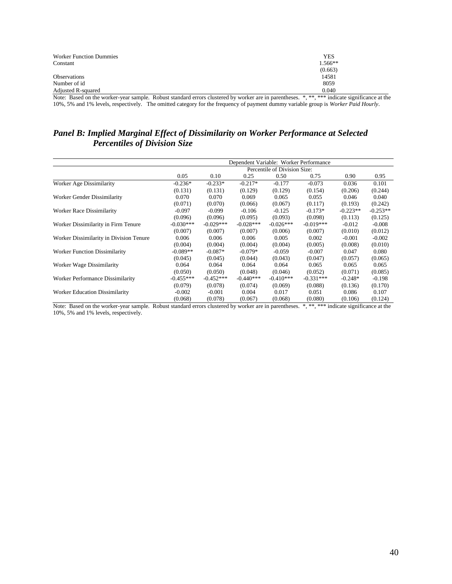| <b>Worker Function Dummies</b> | <b>YES</b> |
|--------------------------------|------------|
| Constant                       | 1.566**    |
|                                | (0.663)    |
| Observations                   | 14581      |
| Number of id                   | 8059       |
| <b>Adjusted R-squared</b>      | 0.040      |

Note: Based on the worker-year sample. Robust standard errors clustered by worker are in parentheses. \*, \*\*, \*\*\* indicate significance at the 10%, 5% and 1% levels, respectively. The omitted category for the frequency of payment dummy variable group is *Worker Paid Hourly*.

#### *Panel B: Implied Marginal Effect of Dissimilarity on Worker Performance at Selected Percentiles of Division Size*

|                                         | Dependent Variable: Worker Performance |             |             |                              |             |            |            |
|-----------------------------------------|----------------------------------------|-------------|-------------|------------------------------|-------------|------------|------------|
|                                         |                                        |             |             | Percentile of Division Size: |             |            |            |
|                                         | 0.05                                   | 0.10        | 0.25        | 0.50                         | 0.75        | 0.90       | 0.95       |
| Worker Age Dissimilarity                | $-0.236*$                              | $-0.233*$   | $-0.217*$   | $-0.177$                     | $-0.073$    | 0.036      | 0.101      |
|                                         | (0.131)                                | (0.131)     | (0.129)     | (0.129)                      | (0.154)     | (0.206)    | (0.244)    |
| Worker Gender Dissimilarity             | 0.070                                  | 0.070       | 0.069       | 0.065                        | 0.055       | 0.046      | 0.040      |
|                                         | (0.071)                                | (0.070)     | (0.066)     | (0.067)                      | (0.117)     | (0.193)    | (0.242)    |
| <b>Worker Race Dissimilarity</b>        | $-0.097$                               | $-0.099$    | $-0.106$    | $-0.125$                     | $-0.173*$   | $-0.223**$ | $-0.253**$ |
|                                         | (0.096)                                | (0.096)     | (0.095)     | (0.093)                      | (0.098)     | (0.113)    | (0.125)    |
| Worker Dissimilarity in Firm Tenure     | $-0.030***$                            | $-0.029***$ | $-0.028***$ | $-0.026***$                  | $-0.019***$ | $-0.012$   | $-0.008$   |
|                                         | (0.007)                                | (0.007)     | (0.007)     | (0.006)                      | (0.007)     | (0.010)    | (0.012)    |
| Worker Dissimilarity in Division Tenure | 0.006                                  | 0.006       | 0.006       | 0.005                        | 0.002       | $-0.001$   | $-0.002$   |
|                                         | (0.004)                                | (0.004)     | (0.004)     | (0.004)                      | (0.005)     | (0.008)    | (0.010)    |
| <b>Worker Function Dissimilarity</b>    | $-0.089**$                             | $-0.087*$   | $-0.079*$   | $-0.059$                     | $-0.007$    | 0.047      | 0.080      |
|                                         | (0.045)                                | (0.045)     | (0.044)     | (0.043)                      | (0.047)     | (0.057)    | (0.065)    |
| Worker Wage Dissimilarity               | 0.064                                  | 0.064       | 0.064       | 0.064                        | 0.065       | 0.065      | 0.065      |
|                                         | (0.050)                                | (0.050)     | (0.048)     | (0.046)                      | (0.052)     | (0.071)    | (0.085)    |
| Worker Performance Dissimilarity        | $-0.455***$                            | $-0.452***$ | $-0.440***$ | $-0.410***$                  | $-0.331***$ | $-0.248*$  | $-0.198$   |
|                                         | (0.079)                                | (0.078)     | (0.074)     | (0.069)                      | (0.088)     | (0.136)    | (0.170)    |
| <b>Worker Education Dissimilarity</b>   | $-0.002$                               | $-0.001$    | 0.004       | 0.017                        | 0.051       | 0.086      | 0.107      |
|                                         | (0.068)                                | (0.078)     | (0.067)     | (0.068)                      | (0.080)     | (0.106)    | (0.124)    |

Note: Based on the worker-year sample. Robust standard errors clustered by worker are in parentheses. \*, \*\*, \*\*\* indicate significance at the 10%, 5% and 1% levels, respectively.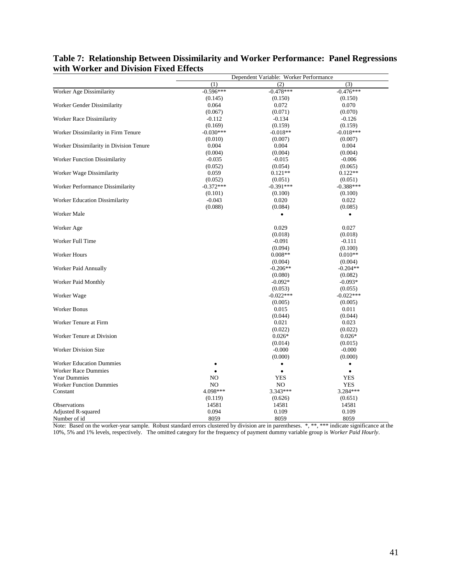|                                         |             | Dependent Variable: Worker Performance |             |
|-----------------------------------------|-------------|----------------------------------------|-------------|
|                                         | (1)         | (2)                                    | (3)         |
| Worker Age Dissimilarity                | $-0.596***$ | $-0.478***$                            | $-0.476***$ |
|                                         | (0.145)     | (0.150)                                | (0.150)     |
| Worker Gender Dissimilarity             | 0.064       | 0.072                                  | 0.070       |
|                                         | (0.067)     | (0.071)                                | (0.070)     |
| Worker Race Dissimilarity               | $-0.112$    | $-0.134$                               | $-0.126$    |
|                                         | (0.169)     | (0.159)                                | (0.159)     |
| Worker Dissimilarity in Firm Tenure     | $-0.030***$ | $-0.018**$                             | $-0.018***$ |
|                                         | (0.010)     | (0.007)                                | (0.007)     |
| Worker Dissimilarity in Division Tenure | 0.004       | 0.004                                  | 0.004       |
|                                         | (0.004)     | (0.004)                                | (0.004)     |
| Worker Function Dissimilarity           | $-0.035$    | $-0.015$                               | $-0.006$    |
|                                         | (0.052)     | (0.054)                                | (0.065)     |
| Worker Wage Dissimilarity               | 0.059       | $0.121**$                              | $0.122**$   |
|                                         | (0.052)     | (0.051)                                | (0.051)     |
| Worker Performance Dissimilarity        | $-0.372***$ | $-0.391***$                            | $-0.388***$ |
|                                         | (0.101)     | (0.100)                                | (0.100)     |
| <b>Worker Education Dissimilarity</b>   | $-0.043$    | 0.020                                  | 0.022       |
|                                         | (0.088)     | (0.084)                                | (0.085)     |
| Worker Male                             |             | $\bullet$                              | $\bullet$   |
| Worker Age                              |             | 0.029                                  | 0.027       |
|                                         |             | (0.018)                                | (0.018)     |
| Worker Full Time                        |             | $-0.091$                               | $-0.111$    |
|                                         |             | (0.094)                                | (0.100)     |
| <b>Worker Hours</b>                     |             | $0.008**$                              | $0.010**$   |
|                                         |             | (0.004)                                | (0.004)     |
| Worker Paid Annually                    |             | $-0.206**$                             | $-0.204**$  |
|                                         |             | (0.080)                                | (0.082)     |
| Worker Paid Monthly                     |             | $-0.092*$                              | $-0.093*$   |
|                                         |             | (0.053)                                | (0.055)     |
| Worker Wage                             |             | $-0.022***$                            | $-0.022***$ |
|                                         |             | (0.005)                                | (0.005)     |
| <b>Worker Bonus</b>                     |             | 0.015                                  | 0.011       |
|                                         |             | (0.044)                                | (0.044)     |
| Worker Tenure at Firm                   |             | 0.021                                  | 0.023       |
|                                         |             | (0.022)                                | (0.022)     |
| Worker Tenure at Division               |             | $0.026*$                               | $0.026*$    |
|                                         |             | (0.014)                                | (0.015)     |
| <b>Worker Division Size</b>             |             | $-0.000$                               | $-0.000$    |
|                                         |             | (0.000)                                | (0.000)     |
| <b>Worker Education Dummies</b>         |             | $\bullet$                              | $\bullet$   |
| <b>Worker Race Dummies</b>              |             |                                        |             |
| <b>Year Dummies</b>                     | NO.         | <b>YES</b>                             | <b>YES</b>  |
| <b>Worker Function Dummies</b>          | NO.         | NO.                                    | <b>YES</b>  |
| Constant                                | 4.098***    | 3.343***                               | 3.284***    |
|                                         | (0.119)     | (0.626)                                | (0.651)     |
| Observations                            | 14581       | 14581                                  | 14581       |
| Adjusted R-squared                      | 0.094       | 0.109                                  | 0.109       |
| Number of id                            | 8059        | 8059                                   | 8059        |

#### **Table 7: Relationship Between Dissimilarity and Worker Performance: Panel Regressions with Worker and Division Fixed Effects**

Note: Based on the worker-year sample. Robust standard errors clustered by division are in parentheses. \*, \*\*, \*\*\* indicate significance at the 10%, 5% and 1% levels, respectively. The omitted category for the frequency of payment dummy variable group is *Worker Paid Hourly*.